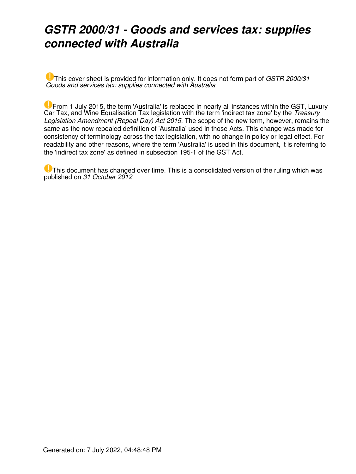### *GSTR 2000/31 - Goods and services tax: supplies connected with Australia*

This cover sheet is provided for information only. It does not form part of *GSTR 2000/31 - Goods and services tax: supplies connected with Australia*

**U** From 1 July 2015, the term 'Australia' is replaced in nearly all instances within the GST, Luxury Car Tax, and Wine Equalisation Tax legislation with the term 'indirect tax zone' by the *Treasury Legislation Amendment (Repeal Day) Act 2015*. The scope of the new term, however, remains the same as the now repealed definition of 'Australia' used in those Acts. This change was made for consistency of terminology across the tax legislation, with no change in policy or legal effect. For readability and other reasons, where the term 'Australia' is used in this document, it is referring to the 'indirect tax zone' as defined in subsection 195-1 of the GST Act.

This document has changed over time. This is a consolidated version of the ruling which was published on *31 October 2012*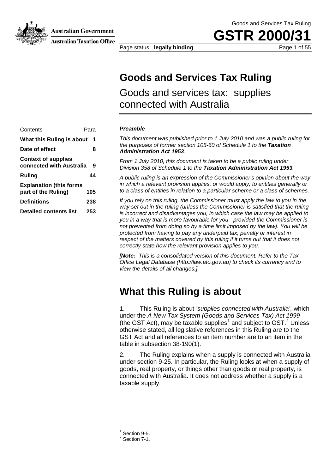Australian Government



**Australian Taxation Office** 

Goods and Services Tax Ruling

**GSTR 200** 

Page status: **legally binding Page 1 of 55** 

### **Goods and Services Tax Ruling**

Goods and services tax: supplies connected with Australia

#### Contents Para **What this Ruling is about 1 Date of effect 8 Context of supplies connected with Australia 9 Ruling 44 Explanation (this forms part of the Ruling) 105**

**Definitions 238 Detailed contents list 253** *Preamble*

*This document was published prior to 1 July 2010 and was a public ruling for the purposes of former section 105-60 of Schedule 1 to the Taxation Administration Act 1953.* 

*From 1 July 2010, this document is taken to be a public ruling under Division 358 of Schedule 1 to the Taxation Administration Act 1953.* 

*A public ruling is an expression of the Commissioner's opinion about the way in which a relevant provision applies, or would apply, to entities generally or to a class of entities in relation to a particular scheme or a class of schemes.*

*If you rely on this ruling, the Commissioner must apply the law to you in the*  way set out in the ruling (unless the Commissioner is satisfied that the ruling *is incorrect and disadvantages you, in which case the law may be applied to you in a way that is more favourable for you - provided the Commissioner is not prevented from doing so by a time limit imposed by the law). You will be protected from having to pay any underpaid tax, penalty or interest in respect of the matters covered by this ruling if it turns out that it does not correctly state how the relevant provision applies to you.*

*[Note: This is a consolidated version of this document. Refer to the Tax Office Legal Database (http://law.ato.gov.au) to check its currency and to view the details of all changes.]*

### **What this Ruling is about**

1. This Ruling is about *'supplies connected with Australia'*, which under the *A New Tax System (Goods and Services Tax) Act 1999* (the GST Act), may be taxable supplies<sup>1</sup> and subject to GST.<sup>2</sup> Unless otherwise stated, all legislative references in this Ruling are to the GST Act and all references to an item number are to an item in the table in subsection 38-190(1).

2. The Ruling explains when a supply is connected with Australia under section 9-25. In particular, the Ruling looks at when a supply of goods, real property, or things other than goods or real property, is connected with Australia. It does not address whether a supply is a taxable supply.

 $\overline{a}$ 

 $\frac{1}{2}$  Section 9-5.<br><sup>2</sup> Section 7-1.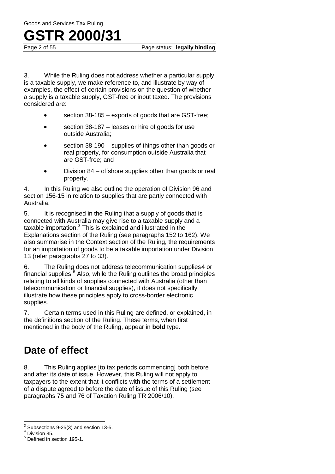## **GSTR 2000/31**<br>Page 2 of 55

3. While the Ruling does not address whether a particular supply is a taxable supply, we make reference to, and illustrate by way of examples, the effect of certain provisions on the question of whether a supply is a taxable supply, GST-free or input taxed. The provisions considered are:

- section 38-185 exports of goods that are GST-free:
- section 38-187 leases or hire of goods for use outside Australia;
- section 38-190 supplies of things other than goods or real property, for consumption outside Australia that are GST-free; and
- Division 84 offshore supplies other than goods or real property.

4. In this Ruling we also outline the operation of Division 96 and section 156-15 in relation to supplies that are partly connected with Australia.

5. It is recognised in the Ruling that a supply of goods that is connected with Australia may give rise to a taxable supply and a taxable importation.<sup>3</sup> This is explained and illustrated in the Explanations section of the Ruling (see paragraphs 152 to 162). We also summarise in the Context section of the Ruling, the requirements for an importation of goods to be a taxable importation under Division 13 (refer paragraphs 27 to 33).

6. The Ruling does not address telecommunication supplies4 or financial supplies.<sup>5</sup> Also, while the Ruling outlines the broad principles relating to all kinds of supplies connected with Australia (other than telecommunication or financial supplies), it does not specifically illustrate how these principles apply to cross-border electronic supplies.

7. Certain terms used in this Ruling are defined, or explained, in the definitions section of the Ruling. These terms, when first mentioned in the body of the Ruling, appear in **bold** type.

### **Date of effect**

8. This Ruling applies [to tax periods commencing] both before and after its date of issue. However, this Ruling will not apply to taxpayers to the extent that it conflicts with the terms of a settlement of a dispute agreed to before the date of issue of this Ruling (see paragraphs 75 and 76 of Taxation Ruling TR 2006/10).

 $^3$  Subsections 9-25(3) and section 13-5.<br> $^4$  Division 85.<br> $^5$  Defined in section 195-1.  $\overline{\phantom{a}}$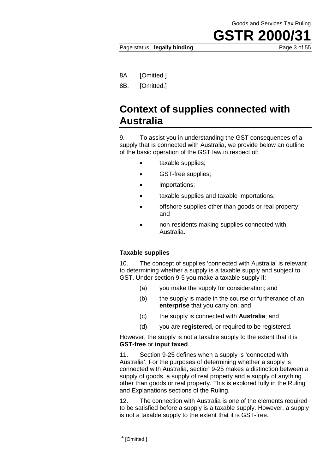Page status: **legally binding** Page 3 of 55

8A. [Omitted.]

8B. [Omitted.]

### **Context of supplies connected with Australia**

9. To assist you in understanding the GST consequences of a supply that is connected with Australia, we provide below an outline of the basic operation of the GST law in respect of:

- taxable supplies;
- GST-free supplies;
- importations;
- taxable supplies and taxable importations;
- offshore supplies other than goods or real property; and
- non-residents making supplies connected with Australia.

#### **Taxable supplies**

10. The concept of supplies 'connected with Australia' is relevant to determining whether a supply is a taxable supply and subject to GST. Under section 9-5 you make a taxable supply if:

- (a) you make the supply for consideration; and
- (b) the supply is made in the course or furtherance of an **enterprise** that you carry on; and
- (c) the supply is connected with **Australia**; and
- (d) you are **registered**, or required to be registered.

However, the supply is not a taxable supply to the extent that it is **GST-free** or **input taxed**.

11. Section 9-25 defines when a supply is 'connected with Australia'. For the purposes of determining whether a supply is connected with Australia, section 9-25 makes a distinction between a supply of goods, a supply of real property and a supply of anything other than goods or real property. This is explored fully in the Ruling and Explanations sections of the Ruling.

12. The connection with Australia is one of the elements required to be satisfied before a supply is a taxable supply. However, a supply is not a taxable supply to the extent that it is GST-free.

<sup>&</sup>lt;sup>5A</sup> [Omitted.]  $\overline{\phantom{a}}$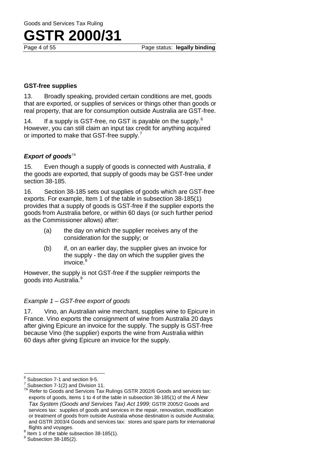#### **GST-free supplies**

13. Broadly speaking, provided certain conditions are met, goods that are exported, or supplies of services or things other than goods or real property, that are for consumption outside Australia are GST-free.

14. If a supply is GST-free, no GST is payable on the supply.<sup>6</sup> However, you can still claim an input tax credit for anything acquired or imported to make that GST-free supply.<sup>7</sup>

#### **Export of goods**<sup>7A</sup>

15. Even though a supply of goods is connected with Australia, if the goods are exported, that supply of goods may be GST-free under section 38-185.

16. Section 38-185 sets out supplies of goods which are GST-free exports. For example, Item 1 of the table in subsection 38-185(1) provides that a supply of goods is GST-free if the supplier exports the goods from Australia before, or within 60 days (or such further period as the Commissioner allows) after:

- (a) the day on which the supplier receives any of the consideration for the supply; or
- (b) if, on an earlier day, the supplier gives an invoice for the supply - the day on which the supplier gives the invoice.<sup>8</sup>

However, the supply is not GST-free if the supplier reimports the goods into Australia.<sup>9</sup>

#### *Example 1 – GST-free export of goods*

17. Vino, an Australian wine merchant, supplies wine to Epicure in France. Vino exports the consignment of wine from Australia 20 days after giving Epicure an invoice for the supply. The supply is GST-free because Vino (the supplier) exports the wine from Australia within 60 days after giving Epicure an invoice for the supply.

<sup>&</sup>lt;sup>6</sup> Subsection 7-1 and section 9-5.

For Subsection 7-1(2) and Division 11.<br>
<sup>7</sup> Subsection 7-1(2) and Division 11.<br>
<sup>7A</sup> Refer to Goods and Services Tax Rulings GSTR 2002/6 Goods and services tax: exports of goods, items 1 to 4 of the table in subsection 38-185(1) of the *A New Tax System (Goods and Services Tax) Act 1999*; GSTR 2005/2 Goods and services tax: supplies of goods and services in the repair, renovation, modification or treatment of goods from outside Australia whose destination is outside Australia; and GSTR 2003/4 Goods and services tax: stores and spare parts for international

 $\frac{8}{9}$  Item 1 of the table subsection 38-185(1).  $\frac{8}{9}$  Subsection 38-185(2).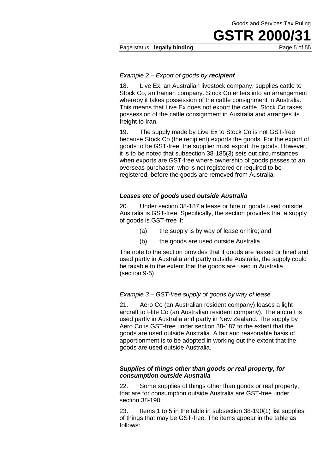#### Page status: **legally binding** Page 5 of 55

#### *Example 2 – Export of goods by recipient*

18. Live Ex, an Australian livestock company, supplies cattle to Stock Co, an Iranian company. Stock Co enters into an arrangement whereby it takes possession of the cattle consignment in Australia. This means that Live Ex does not export the cattle. Stock Co takes possession of the cattle consignment in Australia and arranges its freight to Iran.

19. The supply made by Live Ex to Stock Co is not GST-free because Stock Co (the recipient) exports the goods. For the export of goods to be GST-free, the supplier must export the goods. However, it is to be noted that subsection 38-185(3) sets out circumstances when exports are GST-free where ownership of goods passes to an overseas purchaser, who is not registered or required to be registered, before the goods are removed from Australia.

#### *Leases etc of goods used outside Australia*

20. Under section 38-187 a lease or hire of goods used outside Australia is GST-free. Specifically, the section provides that a supply of goods is GST-free if:

- (a) the supply is by way of lease or hire; and
- (b) the goods are used outside Australia.

The note to the section provides that if goods are leased or hired and used partly in Australia and partly outside Australia, the supply could be taxable to the extent that the goods are used in Australia (section 9-5).

#### *Example 3* – *GST-free supply of goods by way of lease*

21. Aero Co (an Australian resident company) leases a light aircraft to Flite Co (an Australian resident company). The aircraft is used partly in Australia and partly in New Zealand. The supply by Aero Co is GST-free under section 38-187 to the extent that the goods are used outside Australia. A fair and reasonable basis of apportionment is to be adopted in working out the extent that the goods are used outside Australia.

#### *Supplies of things other than goods or real property, for consumption outside Australia*

22. Some supplies of things other than goods or real property, that are for consumption outside Australia are GST-free under section 38-190.

23. Items 1 to 5 in the table in subsection 38-190(1) list supplies of things that may be GST-free. The items appear in the table as follows: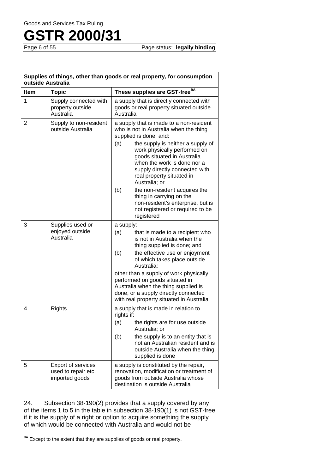Goods and Services Tax Ruling

# **GSTR 2000/31**

Page status: **legally binding** 

| Supplies of things, other than goods or real property, for consumption<br>outside Australia |                                                             |                                                                                                                                                                                                                                                                                                                                                                                                                   |  |
|---------------------------------------------------------------------------------------------|-------------------------------------------------------------|-------------------------------------------------------------------------------------------------------------------------------------------------------------------------------------------------------------------------------------------------------------------------------------------------------------------------------------------------------------------------------------------------------------------|--|
| Item                                                                                        | <b>Topic</b>                                                | These supplies are GST-free <sup>9A</sup>                                                                                                                                                                                                                                                                                                                                                                         |  |
| 1                                                                                           | Supply connected with<br>property outside<br>Australia      | a supply that is directly connected with<br>goods or real property situated outside<br>Australia                                                                                                                                                                                                                                                                                                                  |  |
| 2                                                                                           | Supply to non-resident<br>outside Australia                 | a supply that is made to a non-resident<br>who is not in Australia when the thing<br>supplied is done, and:<br>(a)<br>the supply is neither a supply of<br>work physically performed on<br>goods situated in Australia<br>when the work is done nor a<br>supply directly connected with<br>real property situated in<br>Australia; or                                                                             |  |
|                                                                                             |                                                             | (b)<br>the non-resident acquires the<br>thing in carrying on the<br>non-resident's enterprise, but is<br>not registered or required to be<br>registered                                                                                                                                                                                                                                                           |  |
| 3                                                                                           | Supplies used or<br>enjoyed outside<br>Australia            | a supply:<br>(a)<br>that is made to a recipient who<br>is not in Australia when the<br>thing supplied is done; and<br>(b)<br>the effective use or enjoyment<br>of which takes place outside<br>Australia;<br>other than a supply of work physically<br>performed on goods situated in<br>Australia when the thing supplied is<br>done, or a supply directly connected<br>with real property situated in Australia |  |
| 4                                                                                           | <b>Rights</b>                                               | a supply that is made in relation to<br>rights if:<br>(a)<br>the rights are for use outside<br>Australia; or<br>the supply is to an entity that is<br>(b)<br>not an Australian resident and is<br>outside Australia when the thing<br>supplied is done                                                                                                                                                            |  |
| 5                                                                                           | Export of services<br>used to repair etc.<br>imported goods | a supply is constituted by the repair,<br>renovation, modification or treatment of<br>goods from outside Australia whose<br>destination is outside Australia                                                                                                                                                                                                                                                      |  |

24. Subsection 38-190(2) provides that a supply covered by any of the items 1 to 5 in the table in subsection 38-190(1) is not GST-free if it is the supply of a right or option to acquire something the supply of which would be connected with Australia and would not be

 $\overline{\phantom{a}}$ 

<sup>&</sup>lt;sup>9A</sup> Except to the extent that they are supplies of goods or real property.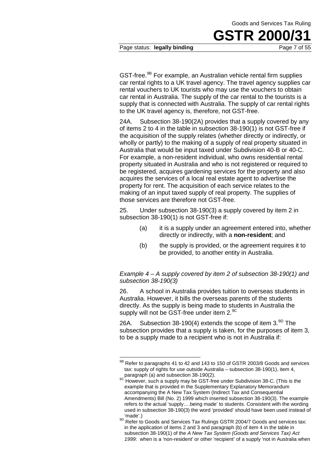Page status: **legally binding Page 7 of 55** 

GST-free.<sup>9B</sup> For example, an Australian vehicle rental firm supplies car rental rights to a UK travel agency. The travel agency supplies car rental vouchers to UK tourists who may use the vouchers to obtain car rental in Australia. The supply of the car rental to the tourists is a supply that is connected with Australia. The supply of car rental rights to the UK travel agency is, therefore, not GST-free.

24A. Subsection 38-190(2A) provides that a supply covered by any of items 2 to 4 in the table in subsection 38-190(1) is not GST-free if the acquisition of the supply relates (whether directly or indirectly, or wholly or partly) to the making of a supply of real property situated in Australia that would be input taxed under Subdivision 40-B or 40-C. For example, a non-resident individual, who owns residential rental property situated in Australia and who is not registered or required to be registered, acquires gardening services for the property and also acquires the services of a local real estate agent to advertise the property for rent. The acquisition of each service relates to the making of an input taxed supply of real property. The supplies of those services are therefore not GST-free.

25. Under subsection 38-190(3) a supply covered by item 2 in subsection 38-190(1) is not GST-free if:

- (a) it is a supply under an agreement entered into, whether directly or indirectly, with a **non-resident**; and
- (b) the supply is provided, or the agreement requires it to be provided, to another entity in Australia.

*Example 4 – A supply covered by item 2 of subsection 38-190(1) and subsection 38-190(3)*

26. A school in Australia provides tuition to overseas students in Australia. However, it bills the overseas parents of the students directly. As the supply is being made to students in Australia the supply will not be GST-free under item 2.<sup>9C</sup>

26A. Subsection 38-190(4) extends the scope of item  $3.^{9D}$  The subsection provides that a supply is taken, for the purposes of item 3, to be a supply made to a recipient who is not in Australia if:

 $^{9B}$  Refer to paragraphs 41 to 42 and 143 to 150 of GSTR 2003/8 Goods and services tax: supply of rights for use outside Australia – subsection 38-190(1), item 4, paragraph (a) and subsection 38-190(2).<br><sup>9C</sup> However, such a supply may be GST-free under Subdivision 38-C. (This is the  $\overline{a}$ 

example that is provided in the Supplementary Explanatory Memorandum accompanying the A New Tax System (Indirect Tax and Consequential Amendments) Bill (No. 2) 1999 which inserted subsection 38-190(3). The example refers to the actual 'supply….being made' to students. Consistent with the wording used in subsection 38-190(3) the word 'provided' should have been used instead of

<sup>9</sup>D Refer to Goods and Services Tax Rulings GSTR 2004/7 Goods and services tax: in the application of items 2 and 3 and paragraph (b) of item 4 in the table in subsection 38-190(1) of the *A New Tax System (Goods and Services Tax) Act 1999*: when is a 'non-resident' or other 'recipient' of a supply 'not in Australia when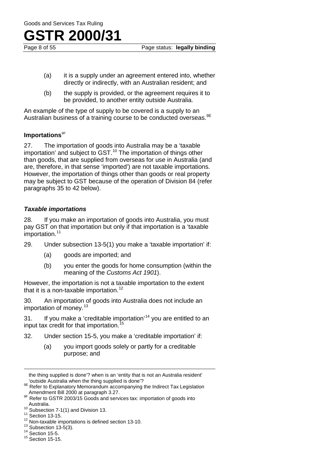Page status: **legally binding** 

- (a) it is a supply under an agreement entered into, whether directly or indirectly, with an Australian resident; and
- (b) the supply is provided, or the agreement requires it to be provided, to another entity outside Australia.

An example of the type of supply to be covered is a supply to an Australian business of a training course to be conducted overseas. <sup>9E</sup>

#### **Importations**<sup>9F</sup>

27. The importation of goods into Australia may be a 'taxable importation' and subject to GST.<sup>10</sup> The importation of things other than goods, that are supplied from overseas for use in Australia (and are, therefore, in that sense 'imported') are not taxable importations. However, the importation of things other than goods or real property may be subject to GST because of the operation of Division 84 (refer paragraphs 35 to 42 below).

#### *Taxable importations*

28. If you make an importation of goods into Australia, you must pay GST on that importation but only if that importation is a 'taxable importation.<sup>11</sup>

- 29. Under subsection 13-5(1) you make a 'taxable importation' if:
	- (a) goods are imported; and
	- (b) you enter the goods for home consumption (within the meaning of the *Customs Act 1901*).

However, the importation is not a taxable importation to the extent that it is a non-taxable importation.<sup>12</sup>

30. An importation of goods into Australia does not include an importation of money. $13$ 

31. If you make a 'creditable importation'<sup>14</sup> you are entitled to an input tax credit for that importation.<sup>15</sup>

- 32. Under section 15-5, you make a 'creditable importation' if:
	- (a) you import goods solely or partly for a creditable purpose; and

 $\overline{a}$ 

the thing supplied is done'? when is an 'entity that is not an Australia resident'

Se Refer to Explanatory Memorandum accompanying the Indirect Tax Legislation<br>Amendment Bill 2000 at paragraph 3.27.

<sup>9</sup>F Refer to GSTR 2003/15 Goods and services tax: importation of goods into Australia.<br><sup>10</sup> Subsection 7-1(1) and Division 13.<br><sup>11</sup> Section 13-15.<br><sup>12</sup> Non-taxable importations is defined section 13-10.<br><sup>13</sup> Subsection 13-5(3).<br><sup>14</sup> Section 15-5.<br><sup>15</sup> Section 15-15.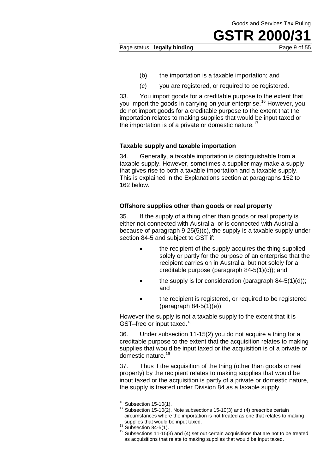#### Page status: **legally binding Page 9 of 55**

- (b) the importation is a taxable importation; and
- (c) you are registered, or required to be registered.

33. You import goods for a creditable purpose to the extent that you import the goods in carrying on your enterprise.<sup>16</sup> However, you do not import goods for a creditable purpose to the extent that the importation relates to making supplies that would be input taxed or the importation is of a private or domestic nature.<sup>17</sup>

#### **Taxable supply and taxable importation**

34. Generally, a taxable importation is distinguishable from a taxable supply. However, sometimes a supplier may make a supply that gives rise to both a taxable importation and a taxable supply. This is explained in the Explanations section at paragraphs 152 to 162 below.

#### **Offshore supplies other than goods or real property**

35. If the supply of a thing other than goods or real property is either not connected with Australia, or is connected with Australia because of paragraph 9-25(5)(c), the supply is a taxable supply under section 84-5 and subject to GST if:

- the recipient of the supply acquires the thing supplied solely or partly for the purpose of an enterprise that the recipient carries on in Australia, but not solely for a creditable purpose (paragraph 84-5(1)(c)); and
- the supply is for consideration (paragraph  $84-5(1)(d)$ ); and
- the recipient is registered, or required to be registered (paragraph 84-5(1)(e)).

However the supply is not a taxable supply to the extent that it is GST–free or input taxed.18

36. Under subsection 11-15(2) you do not acquire a thing for a creditable purpose to the extent that the acquisition relates to making supplies that would be input taxed or the acquisition is of a private or domestic nature.<sup>19</sup>

37. Thus if the acquisition of the thing (other than goods or real property) by the recipient relates to making supplies that would be input taxed or the acquisition is partly of a private or domestic nature, the supply is treated under Division 84 as a taxable supply.

 $16$  Subsection 15-10(1).

 $17$  Subsection 15-10(2). Note subsections 15-10(3) and (4) prescribe certain circumstances where the importation is not treated as one that relates to making

<sup>&</sup>lt;sup>18</sup> Subsection 84-5(1).<br><sup>18</sup> Subsections 11-15(3) and (4) set out certain acquisitions that are not to be treated as acquisitions that relate to making supplies that would be input taxed.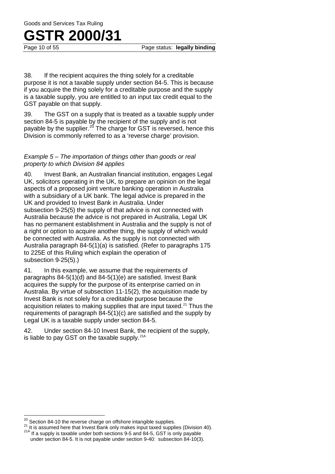## **GSTR 2000/31**<br>Page 10 of 55

Page status: **legally binding** 

38. If the recipient acquires the thing solely for a creditable purpose it is not a taxable supply under section 84-5. This is because if you acquire the thing solely for a creditable purpose and the supply is a taxable supply, you are entitled to an input tax credit equal to the GST payable on that supply.

39. The GST on a supply that is treated as a taxable supply under section 84-5 is payable by the recipient of the supply and is not payable by the supplier.<sup>20</sup> The charge for GST is reversed, hence this Division is commonly referred to as a 'reverse charge' provision.

#### *Example 5 – The importation of things other than goods or real property to which Division 84 applies*

40. Invest Bank, an Australian financial institution, engages Legal UK, solicitors operating in the UK, to prepare an opinion on the legal aspects of a proposed joint venture banking operation in Australia with a subsidiary of a UK bank. The legal advice is prepared in the UK and provided to Invest Bank in Australia. Under subsection 9-25(5) the supply of that advice is not connected with Australia because the advice is not prepared in Australia, Legal UK has no permanent establishment in Australia and the supply is not of a right or option to acquire another thing, the supply of which would be connected with Australia. As the supply is not connected with Australia paragraph 84-5(1)(a) is satisfied. (Refer to paragraphs 175 to 225E of this Ruling which explain the operation of subsection 9-25(5).)

41. In this example, we assume that the requirements of paragraphs 84-5(1)(d) and 84-5(1)(e) are satisfied. Invest Bank acquires the supply for the purpose of its enterprise carried on in Australia. By virtue of subsection 11-15(2), the acquisition made by Invest Bank is not solely for a creditable purpose because the acquisition relates to making supplies that are input taxed.<sup>21</sup> Thus the requirements of paragraph 84-5(1)(c) are satisfied and the supply by Legal UK is a taxable supply under section 84-5.

42. Under section 84-10 Invest Bank, the recipient of the supply, is liable to pay GST on the taxable supply.<sup>21A</sup>

 $\overline{\phantom{a}}$ 

<sup>&</sup>lt;sup>20</sup> Section 84-10 the reverse charge on offshore intangible supplies.<br><sup>21</sup> It is assumed here that Invest Bank only makes input taxed supplies (Division 40).<br><sup>21A</sup> If a supply is taxable under both sections 9-5 and 84-5,

under section 84-5. It is not payable under section 9-40: subsection 84-10(3).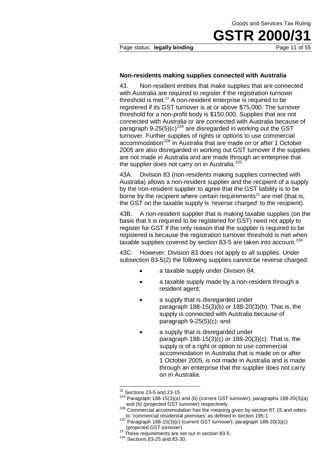#### Page status: **legally binding Page 11 of 55**

#### **Non-residents making supplies connected with Australia**

43. Non-resident entities that make supplies that are connected with Australia are required to register if the registration turnover threshold is met. $22$  A non-resident enterprise is required to be registered if its GST turnover is at or above \$75,000. The turnover threshold for a non-profit body is \$150,000. Supplies that are not connected with Australia or are connected with Australia because of paragraph 9-25(5)(c)<sup>22A</sup> are disregarded in working out the GST turnover. Further supplies of rights or options to use commercial accommodation<sup>22B</sup> in Australia that are made on or after 1 October 2005 are also disregarded in working out GST turnover if the supplies are not made in Australia and are made through an enterprise that the supplier does not carry on in Australia.<sup>22C</sup>

43A. Division 83 (non-residents making supplies connected with Australia) allows a non-resident supplier and the recipient of a supply by the non-resident supplier to agree that the GST liability is to be borne by the recipient where certain requirements<sup>23</sup> are met (that is, the GST on the taxable supply is 'reverse charged' to the recipient).

43B. A non-resident supplier that is making taxable supplies (on the basis that it is required to be registered for GST) need not apply to register for GST if the only reason that the supplier is required to be registered is because the registration turnover threshold is met when taxable supplies covered by section 83-5 are taken into account.<sup>23A</sup>

43C. However, Division 83 does not apply to all supplies. Under subsection 83-5(2) the following supplies cannot be reverse charged:

- a taxable supply under Division 84;
- a taxable supply made by a non-resident through a resident agent;
- a supply that is disregarded under paragraph 188-15(3)(b) or 188-20(3)(b). That is, the supply is connected with Australia because of paragraph 9-25(5)(c); and
- a supply that is disregarded under paragraph 188-15(3)(c) or 188-20(3)(c). That is, the supply is of a right or option to use commercial accommodation in Australia that is made on or after 1 October 2005, is not made in Australia and is made through an enterprise that the supplier does not carry on in Australia.

 $22$  Sections 23-5 and 23-15.

<sup>22</sup>A Paragraph 188-15(3)(a) and (b) (current GST turnover); paragraphs 188-20(3)(a) and (b) (projected GST turnover) respectively.

<sup>22</sup>B Commercial accommodation has the meaning given by section 87-15 and refers to 'commercial residential premises' as defined in section 195-1.

<sup>22</sup>C Deministration (2007)<br>
Paragraph 188-15(3)(c) (current GST turnover); paragraph 188-20(3)(c)<br>
(projected GST turnover).

<sup>&</sup>lt;sup>23</sup> These requirements are set out in section 83-5.<br><sup>23A</sup> Sections 83-25 and 83-30.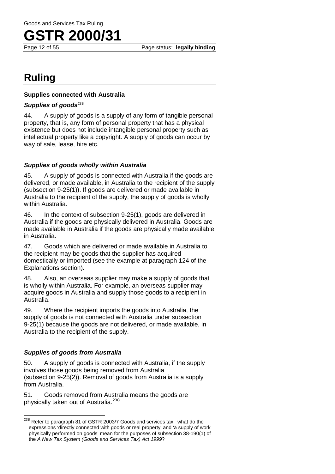

### **Ruling**

#### **Supplies connected with Australia**

#### Supplies of goods<sup>23B</sup>

44. A supply of goods is a supply of any form of tangible personal property, that is, any form of personal property that has a physical existence but does not include intangible personal property such as intellectual property like a copyright. A supply of goods can occur by way of sale, lease, hire etc.

#### *Supplies of goods wholly within Australia*

45. A supply of goods is connected with Australia if the goods are delivered, or made available, in Australia to the recipient of the supply (subsection 9-25(1)). If goods are delivered or made available in Australia to the recipient of the supply, the supply of goods is wholly within Australia.

46. In the context of subsection 9-25(1), goods are delivered in Australia if the goods are physically delivered in Australia. Goods are made available in Australia if the goods are physically made available in Australia.

47. Goods which are delivered or made available in Australia to the recipient may be goods that the supplier has acquired domestically or imported (see the example at paragraph 124 of the Explanations section).

48. Also, an overseas supplier may make a supply of goods that is wholly within Australia. For example, an overseas supplier may acquire goods in Australia and supply those goods to a recipient in Australia.

49. Where the recipient imports the goods into Australia, the supply of goods is not connected with Australia under subsection 9-25(1) because the goods are not delivered, or made available, in Australia to the recipient of the supply.

#### *Supplies of goods from Australia*

50. A supply of goods is connected with Australia, if the supply involves those goods being removed from Australia (subsection 9-25(2)). Removal of goods from Australia is a supply from Australia.

51. Goods removed from Australia means the goods are physically taken out of Australia.<sup>23C</sup>

<sup>&</sup>lt;sup>23B</sup> Refer to paragraph 81 of GSTR 2003/7 Goods and services tax: what do the expressions 'directly connected with goods or real property' and 'a supply of work physically performed on goods' mean for the purposes of subsection 38-190(1) of the *A New Tax System (Goods and Services Tax) Act 1999*?  $\overline{\phantom{a}}$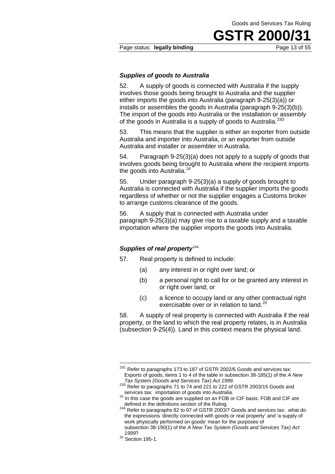#### Page status: **legally binding** Page 13 of 55

#### *Supplies of goods to Australia*

52. A supply of goods is connected with Australia if the supply involves those goods being brought to Australia and the supplier either imports the goods into Australia (paragraph 9-25(3)(a)) or installs or assembles the goods in Australia (paragraph 9-25(3)(b)). The import of the goods into Australia or the installation or assembly of the goods in Australia is a supply of goods to Australia.<sup>23D</sup>

53. This means that the supplier is either an exporter from outside Australia and importer into Australia, or an exporter from outside Australia and installer or assembler in Australia.

54. Paragraph 9-25(3)(a) does not apply to a supply of goods that involves goods being brought to Australia where the recipient imports the goods into Australia.<sup>24</sup>

55. Under paragraph 9-25(3)(a) a supply of goods brought to Australia is connected with Australia if the supplier imports the goods regardless of whether or not the supplier engages a Customs broker to arrange customs clearance of the goods.

56. A supply that is connected with Australia under paragraph 9-25(3)(a) may give rise to a taxable supply and a taxable importation where the supplier imports the goods into Australia.

#### **Supplies of real property**<sup>24A</sup>

- 57. Real property is defined to include:
	- (a) any interest in or right over land; or
	- (b) a personal right to call for or be granted any interest in or right over land; or
	- (c) a licence to occupy land or any other contractual right exercisable over or in relation to land.<sup>25</sup>

58. A supply of real property is connected with Australia if the real property, or the land to which the real property relates, is in Australia (subsection 9-25(4)). Land in this context means the physical land.

 $\overline{a}$ 

 $^{23C}$  Refer to paragraphs 173 to 187 of GSTR 2002/6 Goods and services tax: Exports of goods, items 1 to 4 of the table in subsection 38-185(1) of the *A New* 

*Tax System (Goods and Services Tax) Act 1999.*<br><sup>23D</sup> Refer to paragraphs 71 to 74 and 221 to 222 of GSTR 2003/15 Goods and services tax: importation of goods into Australia.

services tax: importation of goods into Australia. <sup>24</sup> In this case the goods are supplied on an FOB or CIF basis. FOB and CIF are

defined in the definitions section of the Ruling.<br><sup>24A</sup> Refer to paragraphs 82 to 97 of GSTR 2003/7 Goods and services tax: what do the expressions 'directly connected with goods or real property' and 'a supply of work physically performed on goods' mean for the purposes of subsection 38-190(1) of the *A New Tax System (Goods and Services Tax) Act* 

*<sup>1999</sup>*? 25 Section 195-1.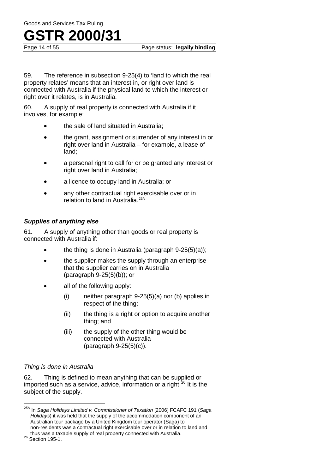59. The reference in subsection 9-25(4) to 'land to which the real property relates' means that an interest in, or right over land is connected with Australia if the physical land to which the interest or right over it relates, is in Australia.

60. A supply of real property is connected with Australia if it involves, for example:

- the sale of land situated in Australia:
- the grant, assignment or surrender of any interest in or right over land in Australia – for example, a lease of land;
- a personal right to call for or be granted any interest or right over land in Australia;
- a licence to occupy land in Australia; or
- any other contractual right exercisable over or in relation to land in Australia.<sup>25A</sup>

#### *Supplies of anything else*

61. A supply of anything other than goods or real property is connected with Australia if:

- the thing is done in Australia (paragraph  $9-25(5)(a)$ );
- the supplier makes the supply through an enterprise that the supplier carries on in Australia (paragraph 9-25(5)(b)); or
- all of the following apply:
	- (i) neither paragraph 9-25(5)(a) nor (b) applies in respect of the thing;
	- (ii) the thing is a right or option to acquire another thing; and
	- (iii) the supply of the other thing would be connected with Australia (paragraph 9-25(5)(c)).

#### *Thing is done in Australia*

62. Thing is defined to mean anything that can be supplied or imported such as a service, advice, information or a right.<sup>26</sup> It is the subject of the supply.

<sup>25</sup>A In *Saga Holidays Limited v. Commissioner of Taxation* [2006] FCAFC 191 (*Saga Holidays*) it was held that the supply of the accommodation component of an Australian tour package by a United Kingdom tour operator (Saga) to non-residents was a contractual right exercisable over or in relation to land and thus was a taxable supply of real property connected with Australia.<br><sup>26</sup> Section 195-1.  $\overline{\phantom{a}}$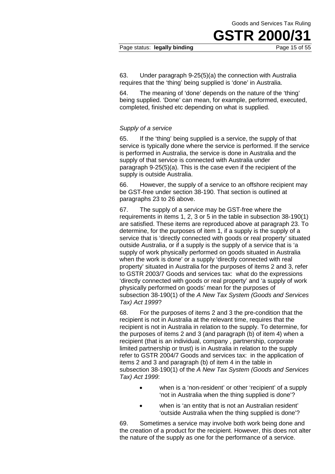#### Page status: legally binding

**GSTR 2000/31**<br>Page 15 of 55

63. Under paragraph 9-25(5)(a) the connection with Australia requires that the 'thing' being supplied is 'done' in Australia.

64. The meaning of 'done' depends on the nature of the 'thing' being supplied. 'Done' can mean, for example, performed, executed, completed, finished etc depending on what is supplied.

#### *Supply of a service*

65. If the 'thing' being supplied is a service, the supply of that service is typically done where the service is performed. If the service is performed in Australia, the service is done in Australia and the supply of that service is connected with Australia under paragraph 9-25(5)(a). This is the case even if the recipient of the supply is outside Australia.

66. However, the supply of a service to an offshore recipient may be GST-free under section 38-190. That section is outlined at paragraphs 23 to 26 above.

67. The supply of a service may be GST-free where the requirements in items 1, 2, 3 or 5 in the table in subsection 38-190(1) are satisfied. These items are reproduced above at paragraph 23. To determine, for the purposes of item 1, if a supply is the supply of a service that is 'directly connected with goods or real property' situated outside Australia, or if a supply is the supply of a service that is 'a supply of work physically performed on goods situated in Australia when the work is done' or a supply 'directly connected with real property' situated in Australia for the purposes of items 2 and 3, refer to GSTR 2003/7 Goods and services tax: what do the expressions 'directly connected with goods or real property' and 'a supply of work physically performed on goods' mean for the purposes of subsection 38-190(1) of the *A New Tax System (Goods and Services Tax) Act 1999*?

68. For the purposes of items 2 and 3 the pre-condition that the recipient is not in Australia at the relevant time, requires that the recipient is not in Australia in relation to the supply. To determine, for the purposes of items 2 and 3 (and paragraph (b) of item 4) when a recipient (that is an individual, company , partnership, corporate limited partnership or trust) is in Australia in relation to the supply refer to GSTR 2004/7 Goods and services tax: in the application of items 2 and 3 and paragraph (b) of item 4 in the table in subsection 38-190(1) of the *A New Tax System (Goods and Services Tax) Act 1999*:

- when is a 'non-resident' or other 'recipient' of a supply 'not in Australia when the thing supplied is done'?
- when is 'an entity that is not an Australian resident' 'outside Australia when the thing supplied is done'?

69. Sometimes a service may involve both work being done and the creation of a product for the recipient. However, this does not alter the nature of the supply as one for the performance of a service.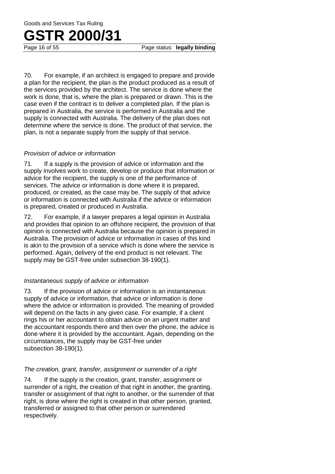Goods and Services Tax Ruling

### **GSTR 2000/31**

Page status: **legally binding** 

70. For example, if an architect is engaged to prepare and provide a plan for the recipient, the plan is the product produced as a result of the services provided by the architect. The service is done where the work is done, that is, where the plan is prepared or drawn. This is the case even if the contract is to deliver a completed plan. If the plan is prepared in Australia, the service is performed in Australia and the supply is connected with Australia. The delivery of the plan does not determine where the service is done. The product of that service, the plan, is not a separate supply from the supply of that service.

#### *Provision of advice or information*

71. If a supply is the provision of advice or information and the supply involves work to create, develop or produce that information or advice for the recipient, the supply is one of the performance of services. The advice or information is done where it is prepared, produced, or created, as the case may be. The supply of that advice or information is connected with Australia if the advice or information is prepared, created or produced in Australia.

72. For example, if a lawyer prepares a legal opinion in Australia and provides that opinion to an offshore recipient, the provision of that opinion is connected with Australia because the opinion is prepared in Australia. The provision of advice or information in cases of this kind is akin to the provision of a service which is done where the service is performed. Again, delivery of the end product is not relevant. The supply may be GST-free under subsection 38-190(1).

#### *Instantaneous supply of advice or information*

73. If the provision of advice or information is an instantaneous supply of advice or information, that advice or information is done where the advice or information is provided. The meaning of provided will depend on the facts in any given case. For example, if a client rings his or her accountant to obtain advice on an urgent matter and the accountant responds there and then over the phone, the advice is done where it is provided by the accountant. Again, depending on the circumstances, the supply may be GST-free under subsection 38-190(1).

#### *The creation, grant, transfer, assignment or surrender of a right*

74. If the supply is the creation, grant, transfer, assignment or surrender of a right, the creation of that right in another, the granting, transfer or assignment of that right to another, or the surrender of that right, is done where the right is created in that other person, granted, transferred or assigned to that other person or surrendered respectively.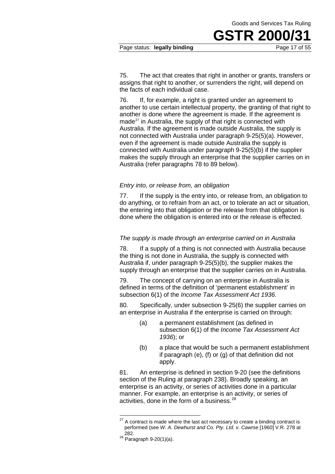#### Page status: **legally binding** Page 17 of 55

75. The act that creates that right in another or grants, transfers or assigns that right to another, or surrenders the right, will depend on the facts of each individual case.

76. If, for example, a right is granted under an agreement to another to use certain intellectual property, the granting of that right to another is done where the agreement is made. If the agreement is made $^{27}$  in Australia, the supply of that right is connected with Australia. If the agreement is made outside Australia, the supply is not connected with Australia under paragraph 9-25(5)(a). However, even if the agreement is made outside Australia the supply is connected with Australia under paragraph 9-25(5)(b) if the supplier makes the supply through an enterprise that the supplier carries on in Australia (refer paragraphs 78 to 89 below).

#### *Entry into, or release from, an obligation*

77. If the supply is the entry into, or release from, an obligation to do anything, or to refrain from an act, or to tolerate an act or situation, the entering into that obligation or the release from that obligation is done where the obligation is entered into or the release is effected.

#### *The supply is made through an enterprise carried on in Australia*

78. If a supply of a thing is not connected with Australia because the thing is not done in Australia, the supply is connected with Australia if, under paragraph 9-25(5)(b), the supplier makes the supply through an enterprise that the supplier carries on in Australia.

79. The concept of carrying on an enterprise in Australia is defined in terms of the definition of 'permanent establishment' in subsection 6(1) of the *Income Tax Assessment Act 1936*.

80. Specifically, under subsection 9-25(6) the supplier carries on an enterprise in Australia if the enterprise is carried on through:

- (a) a permanent establishment (as defined in subsection 6(1) of the *Income Tax Assessment Act 1936*); or
- (b) a place that would be such a permanent establishment if paragraph (e), (f) or (g) of that definition did not apply.

81. An enterprise is defined in section 9-20 (see the definitions section of the Ruling at paragraph 238). Broadly speaking, an enterprise is an activity, or series of activities done in a particular manner. For example, an enterprise is an activity, or series of activities, done in the form of a business.<sup>28</sup>

 $\overline{\phantom{a}}$ 

 $27$  A contract is made where the last act necessary to create a binding contract is performed (see *W. A. Dewhurst and Co. Pty. Ltd. v. Cawrse* [1960] V.R. 278 at

 $28\frac{2321}{28}$  Paragraph 9-20(1)(a).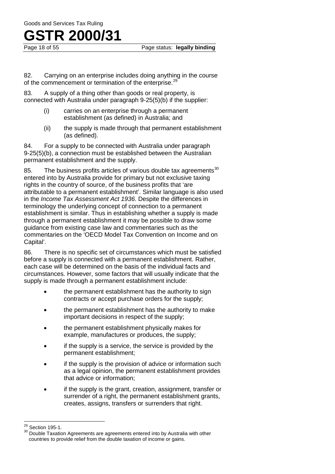## **GSTR 2000/31**<br>Page 18 of 55

82. Carrying on an enterprise includes doing anything in the course of the commencement or termination of the enterprise.<sup>29</sup>

83. A supply of a thing other than goods or real property, is connected with Australia under paragraph 9-25(5)(b) if the supplier:

- (i) carries on an enterprise through a permanent establishment (as defined) in Australia; and
- (ii) the supply is made through that permanent establishment (as defined).

84. For a supply to be connected with Australia under paragraph 9-25(5)(b), a connection must be established between the Australian permanent establishment and the supply.

85. The business profits articles of various double tax agreements $30$ entered into by Australia provide for primary but not exclusive taxing rights in the country of source, of the business profits that 'are attributable to a permanent establishment'. Similar language is also used in the *Income Tax Assessment Act 1936*. Despite the differences in terminology the underlying concept of connection to a permanent establishment is similar. Thus in establishing whether a supply is made through a permanent establishment it may be possible to draw some guidance from existing case law and commentaries such as the commentaries on the 'OECD Model Tax Convention on Income and on Capital'.

86. There is no specific set of circumstances which must be satisfied before a supply is connected with a permanent establishment. Rather, each case will be determined on the basis of the individual facts and circumstances. However, some factors that will usually indicate that the supply is made through a permanent establishment include:

- the permanent establishment has the authority to sign contracts or accept purchase orders for the supply;
- the permanent establishment has the authority to make important decisions in respect of the supply;
- the permanent establishment physically makes for example, manufactures or produces, the supply;
- if the supply is a service, the service is provided by the permanent establishment;
- if the supply is the provision of advice or information such as a legal opinion, the permanent establishment provides that advice or information;
- if the supply is the grant, creation, assignment, transfer or surrender of a right, the permanent establishment grants, creates, assigns, transfers or surrenders that right.

<sup>29</sup> 

<sup>&</sup>lt;sup>29</sup> Section 195-1.<br><sup>30</sup> Double Taxation Agreements are agreements entered into by Australia with other countries to provide relief from the double taxation of income or gains.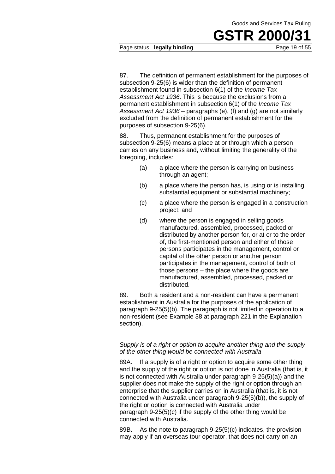#### Page status: legally binding

87. The definition of permanent establishment for the purposes of subsection 9-25(6) is wider than the definition of permanent establishment found in subsection 6(1) of the *Income Tax Assessment Act 1936*. This is because the exclusions from a permanent establishment in subsection 6(1) of the *Income Tax Assessment Act 1936* – paragraphs (e), (f) and (g) are not similarly excluded from the definition of permanent establishment for the purposes of subsection 9-25(6).

88. Thus, permanent establishment for the purposes of subsection 9-25(6) means a place at or through which a person carries on any business and, without limiting the generality of the foregoing, includes:

- (a) a place where the person is carrying on business through an agent;
- (b) a place where the person has, is using or is installing substantial equipment or substantial machinery;
- (c) a place where the person is engaged in a construction project; and
- (d) where the person is engaged in selling goods manufactured, assembled, processed, packed or distributed by another person for, or at or to the order of, the first-mentioned person and either of those persons participates in the management, control or capital of the other person or another person participates in the management, control of both of those persons – the place where the goods are manufactured, assembled, processed, packed or distributed.

89. Both a resident and a non-resident can have a permanent establishment in Australia for the purposes of the application of paragraph 9-25(5)(b). The paragraph is not limited in operation to a non-resident (see Example 38 at paragraph 221 in the Explanation section).

#### *Supply is of a right or option to acquire another thing and the supply of the other thing would be connected with Australia*

89A. If a supply is of a right or option to acquire some other thing and the supply of the right or option is not done in Australia (that is, it is not connected with Australia under paragraph 9-25(5)(a)) and the supplier does not make the supply of the right or option through an enterprise that the supplier carries on in Australia (that is, it is not connected with Australia under paragraph 9-25(5)(b)), the supply of the right or option is connected with Australia under paragraph 9-25(5)(c) if the supply of the other thing would be connected with Australia.

89B. As the note to paragraph 9-25(5)(c) indicates, the provision may apply if an overseas tour operator, that does not carry on an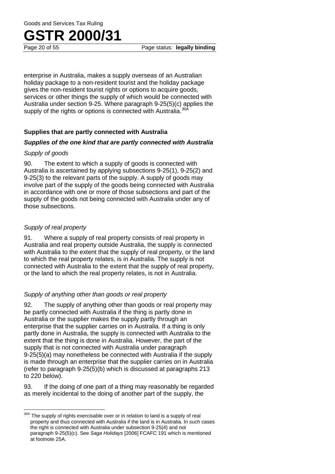enterprise in Australia, makes a supply overseas of an Australian holiday package to a non-resident tourist and the holiday package gives the non-resident tourist rights or options to acquire goods, services or other things the supply of which would be connected with Australia under section 9-25. Where paragraph 9-25(5)(c) applies the supply of the rights or options is connected with Australia.<sup>30</sup>

#### **Supplies that are partly connected with Australia**

#### *Supplies of the one kind that are partly connected with Australia*

#### *Supply of goods*

90. The extent to which a supply of goods is connected with Australia is ascertained by applying subsections 9-25(1), 9-25(2) and 9-25(3) to the relevant parts of the supply. A supply of goods may involve part of the supply of the goods being connected with Australia in accordance with one or more of those subsections and part of the supply of the goods not being connected with Australia under any of those subsections.

#### *Supply of real property*

 $\overline{\phantom{a}}$ 

91. Where a supply of real property consists of real property in Australia and real property outside Australia, the supply is connected with Australia to the extent that the supply of real property, or the land to which the real property relates, is in Australia. The supply is not connected with Australia to the extent that the supply of real property, or the land to which the real property relates, is not in Australia.

#### *Supply of anything other than goods or real property*

92. The supply of anything other than goods or real property may be partly connected with Australia if the thing is partly done in Australia or the supplier makes the supply partly through an enterprise that the supplier carries on in Australia. If a thing is only partly done in Australia, the supply is connected with Australia to the extent that the thing is done in Australia. However, the part of the supply that is not connected with Australia under paragraph 9-25(5)(a) may nonetheless be connected with Australia if the supply is made through an enterprise that the supplier carries on in Australia (refer to paragraph 9-25(5)(b) which is discussed at paragraphs 213 to 220 below).

93. If the doing of one part of a thing may reasonably be regarded as merely incidental to the doing of another part of the supply, the

The supply of rights exercisable over or in relation to land is a supply of real property and thus connected with Australia if the land is in Australia. In such cases the right is connected with Australia under subsection 9-25(4) and not paragraph 9-25(5)(c). See *Saga Holidays* [2006] FCAFC 191 which is mentioned at footnote 25A.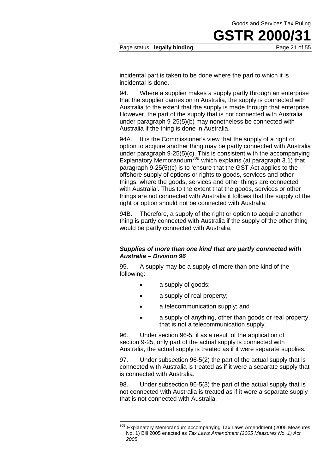#### Page status: **legally binding**

**GSTR 2000/31**<br>Page 21 of 55

incidental part is taken to be done where the part to which it is incidental is done.

94. Where a supplier makes a supply partly through an enterprise that the supplier carries on in Australia, the supply is connected with Australia to the extent that the supply is made through that enterprise. However, the part of the supply that is not connected with Australia under paragraph 9-25(5)(b) may nonetheless be connected with Australia if the thing is done in Australia.

94A. It is the Commissioner's view that the supply of a right or option to acquire another thing may be partly connected with Australia under paragraph 9-25(5)(c). This is consistent with the accompanying Explanatory Memorandum<sup>30B</sup> which explains (at paragraph 3.1) that paragraph 9-25(5)(c) is to 'ensure that the GST Act applies to the offshore supply of options or rights to goods, services and other things, where the goods, services and other things are connected with Australia'. Thus to the extent that the goods, services or other things are not connected with Australia it follows that the supply of the right or option should not be connected with Australia.

94B. Therefore, a supply of the right or option to acquire another thing is partly connected with Australia if the supply of the other thing would be partly connected with Australia.

#### *Supplies of more than one kind that are partly connected with Australia – Division 96*

95. A supply may be a supply of more than one kind of the following:

• a supply of goods;

 $\overline{a}$ 

- a supply of real property:
- a telecommunication supply; and
- a supply of anything, other than goods or real property, that is not a telecommunication supply.

96. Under section 96-5, if as a result of the application of section 9-25, only part of the actual supply is connected with Australia, the actual supply is treated as if it were separate supplies.

97. Under subsection 96-5(2) the part of the actual supply that is connected with Australia is treated as if it were a separate supply that is connected with Australia.

98. Under subsection 96-5(3) the part of the actual supply that is not connected with Australia is treated as if it were a separate supply that is not connected with Australia.

<sup>&</sup>lt;sup>30B</sup> Explanatory Memorandum accompanying Tax Laws Amendment (2005 Measures No. 1) Bill 2005 enacted as *Tax Laws Amendment (2005 Measures No. 1) Act 2005*.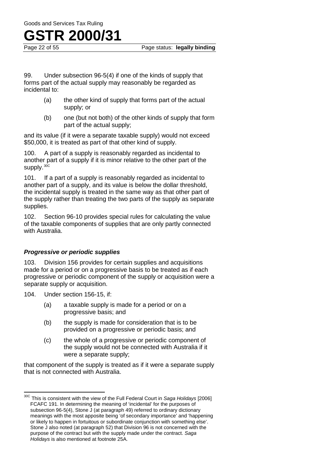## **GSTR 2000/31**<br>Page 22 of 55

Page status: **legally binding** 

99. Under subsection 96-5(4) if one of the kinds of supply that forms part of the actual supply may reasonably be regarded as incidental to:

- (a) the other kind of supply that forms part of the actual supply; or
- (b) one (but not both) of the other kinds of supply that form part of the actual supply;

and its value (if it were a separate taxable supply) would not exceed \$50,000, it is treated as part of that other kind of supply.

100. A part of a supply is reasonably regarded as incidental to another part of a supply if it is minor relative to the other part of the supply.<sup>30C</sup>

101. If a part of a supply is reasonably regarded as incidental to another part of a supply, and its value is below the dollar threshold, the incidental supply is treated in the same way as that other part of the supply rather than treating the two parts of the supply as separate supplies.

102. Section 96-10 provides special rules for calculating the value of the taxable components of supplies that are only partly connected with Australia.

#### *Progressive or periodic supplies*

103. Division 156 provides for certain supplies and acquisitions made for a period or on a progressive basis to be treated as if each progressive or periodic component of the supply or acquisition were a separate supply or acquisition.

104. Under section 156-15, if:

- (a) a taxable supply is made for a period or on a progressive basis; and
- (b) the supply is made for consideration that is to be provided on a progressive or periodic basis; and
- (c) the whole of a progressive or periodic component of the supply would not be connected with Australia if it were a separate supply;

that component of the supply is treated as if it were a separate supply that is not connected with Australia.

<sup>30</sup>C This is consistent with the view of the Full Federal Court in *Saga Holidays* [2006] FCAFC 191. In determining the meaning of 'incidental' for the purposes of subsection 96-5(4), Stone J (at paragraph 49) referred to ordinary dictionary meanings with the most apposite being 'of secondary importance' and 'happening or likely to happen in fortuitous or subordinate conjunction with something else'. Stone J also noted (at paragraph 52) that Division 96 is not concerned with the purpose of the contract but with the supply made under the contract. *Saga Holidays* is also mentioned at footnote 25A.  $\overline{\phantom{a}}$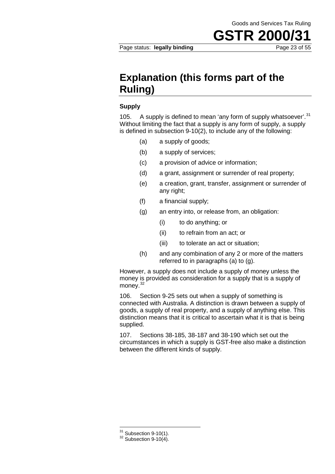**GSTR 2000/31**<br>Page 23 of 55

### **Explanation (this forms part of the Ruling)**

#### **Supply**

105. A supply is defined to mean 'any form of supply whatsoever'.<sup>31</sup> Without limiting the fact that a supply is any form of supply, a supply is defined in subsection 9-10(2), to include any of the following:

- (a) a supply of goods;
- (b) a supply of services;
- (c) a provision of advice or information;
- (d) a grant, assignment or surrender of real property;
- (e) a creation, grant, transfer, assignment or surrender of any right;
- (f) a financial supply;
- (g) an entry into, or release from, an obligation:
	- (i) to do anything; or
	- (ii) to refrain from an act; or
	- (iii) to tolerate an act or situation;
- (h) and any combination of any 2 or more of the matters referred to in paragraphs (a) to (g).

However, a supply does not include a supply of money unless the money is provided as consideration for a supply that is a supply of money.<sup>32</sup>

106. Section 9-25 sets out when a supply of something is connected with Australia. A distinction is drawn between a supply of goods, a supply of real property, and a supply of anything else. This distinction means that it is critical to ascertain what it is that is being supplied.

107. Sections 38-185, 38-187 and 38-190 which set out the circumstances in which a supply is GST-free also make a distinction between the different kinds of supply.

 $31$  Subsection 9-10(1).

 $32$  Subsection 9-10(4).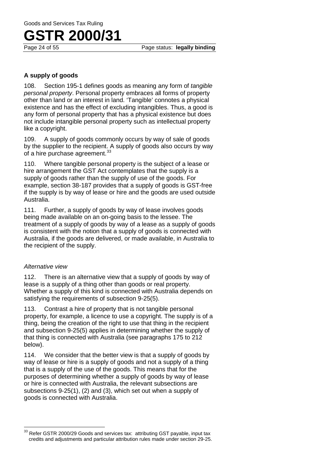Page status: **legally binding** 

#### **A supply of goods**

108. Section 195-1 defines goods as meaning any form of *tangible personal property*. Personal property embraces all forms of property other than land or an interest in land. 'Tangible' connotes a physical existence and has the effect of excluding intangibles. Thus, a good is any form of personal property that has a physical existence but does not include intangible personal property such as intellectual property like a copyright.

109. A supply of goods commonly occurs by way of sale of goods by the supplier to the recipient. A supply of goods also occurs by way of a hire purchase agreement.<sup>33</sup>

110. Where tangible personal property is the subject of a lease or hire arrangement the GST Act contemplates that the supply is a supply of goods rather than the supply of use of the goods. For example, section 38-187 provides that a supply of goods is GST-free if the supply is by way of lease or hire and the goods are used outside Australia.

111. Further, a supply of goods by way of lease involves goods being made available on an on-going basis to the lessee. The treatment of a supply of goods by way of a lease as a supply of goods is consistent with the notion that a supply of goods is connected with Australia, if the goods are delivered, or made available, in Australia to the recipient of the supply.

#### *Alternative view*

112. There is an alternative view that a supply of goods by way of lease is a supply of a thing other than goods or real property. Whether a supply of this kind is connected with Australia depends on satisfying the requirements of subsection 9-25(5).

113. Contrast a hire of property that is not tangible personal property, for example, a licence to use a copyright. The supply is of a thing, being the creation of the right to use that thing in the recipient and subsection 9-25(5) applies in determining whether the supply of that thing is connected with Australia (see paragraphs 175 to 212 below).

114. We consider that the better view is that a supply of goods by way of lease or hire is a supply of goods and not a supply of a thing that is a supply of the use of the goods. This means that for the purposes of determining whether a supply of goods by way of lease or hire is connected with Australia, the relevant subsections are subsections 9-25(1), (2) and (3), which set out when a supply of goods is connected with Australia.

 $^{33}$  Refer GSTR 2000/29 Goods and services tax: attributing GST payable, input tax credits and adjustments and particular attribution rules made under section 29-25.  $\overline{\phantom{a}}$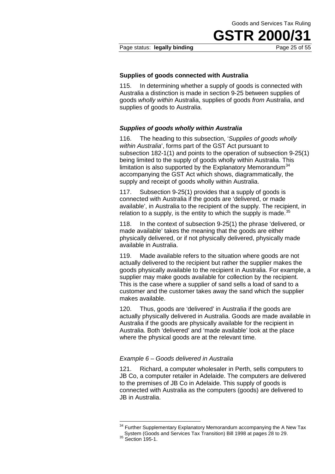#### Page status: **legally binding** Page 25 of 55

#### **Supplies of goods connected with Australia**

115. In determining whether a supply of goods is connected with Australia a distinction is made in section 9-25 between supplies of goods *wholly within* Australia, supplies of goods *from* Australia, and supplies of goods to Australia.

#### *Supplies of goods wholly within Australia*

116. The heading to this subsection, '*Supplies of goods wholly within Australia*', forms part of the GST Act pursuant to subsection 182-1(1) and points to the operation of subsection 9-25(1) being limited to the supply of goods wholly within Australia. This limitation is also supported by the Explanatory Memorandum<sup>34</sup> accompanying the GST Act which shows, diagrammatically, the supply and receipt of goods wholly within Australia.

117. Subsection 9-25(1) provides that a supply of goods is connected with Australia if the goods are 'delivered, or made available', in Australia to the recipient of the supply. The recipient, in relation to a supply, is the entity to which the supply is made.<sup>35</sup>

118. In the context of subsection 9-25(1) the phrase 'delivered, or made available' takes the meaning that the goods are either physically delivered, or if not physically delivered, physically made available in Australia.

119. Made available refers to the situation where goods are not actually delivered to the recipient but rather the supplier makes the goods physically available to the recipient in Australia. For example, a supplier may make goods available for collection by the recipient. This is the case where a supplier of sand sells a load of sand to a customer and the customer takes away the sand which the supplier makes available.

120. Thus, goods are 'delivered' in Australia if the goods are actually physically delivered in Australia. Goods are made available in Australia if the goods are physically available for the recipient in Australia. Both 'delivered' and 'made available' look at the place where the physical goods are at the relevant time.

#### *Example 6 – Goods delivered in Australia*

121. Richard, a computer wholesaler in Perth, sells computers to JB Co, a computer retailer in Adelaide. The computers are delivered to the premises of JB Co in Adelaide. This supply of goods is connected with Australia as the computers (goods) are delivered to JB in Australia.

 $\overline{a}$ 

<sup>&</sup>lt;sup>34</sup> Further Supplementary Explanatory Memorandum accompanying the A New Tax System (Goods and Services Tax Transition) Bill 1998 at pages 28 to 29.<br><sup>35</sup> Section 195-1.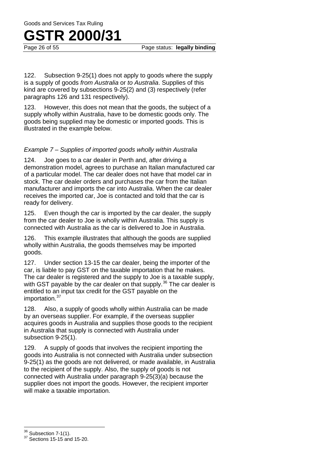### **GSTR 2000/31**<br>Page 26 of 55

Page status: **legally binding** 

122. Subsection 9-25(1) does not apply to goods where the supply is a supply of goods *from Australia* or *to Australia*. Supplies of this kind are covered by subsections 9-25(2) and (3) respectively (refer paragraphs 126 and 131 respectively).

123. However, this does not mean that the goods, the subject of a supply wholly within Australia, have to be domestic goods only. The goods being supplied may be domestic or imported goods. This is illustrated in the example below.

#### *Example 7 – Supplies of imported goods wholly within Australia*

124. Joe goes to a car dealer in Perth and, after driving a demonstration model, agrees to purchase an Italian manufactured car of a particular model. The car dealer does not have that model car in stock. The car dealer orders and purchases the car from the Italian manufacturer and imports the car into Australia. When the car dealer receives the imported car, Joe is contacted and told that the car is ready for delivery.

125. Even though the car is imported by the car dealer, the supply from the car dealer to Joe is wholly within Australia. This supply is connected with Australia as the car is delivered to Joe in Australia.

126. This example illustrates that although the goods are supplied wholly within Australia, the goods themselves may be imported goods.

127. Under section 13-15 the car dealer, being the importer of the car, is liable to pay GST on the taxable importation that he makes. The car dealer is registered and the supply to Joe is a taxable supply, with GST payable by the car dealer on that supply.<sup>36</sup> The car dealer is entitled to an input tax credit for the GST payable on the importation.<sup>37</sup>

128. Also, a supply of goods wholly within Australia can be made by an overseas supplier. For example, if the overseas supplier acquires goods in Australia and supplies those goods to the recipient in Australia that supply is connected with Australia under subsection 9-25(1).

129. A supply of goods that involves the recipient importing the goods into Australia is not connected with Australia under subsection 9-25(1) as the goods are not delivered, or made available, in Australia to the recipient of the supply. Also, the supply of goods is not connected with Australia under paragraph 9-25(3)(a) because the supplier does not import the goods. However, the recipient importer will make a taxable importation.

 $36$  Subsection 7-1(1).

 $37$  Sections 15-15 and 15-20.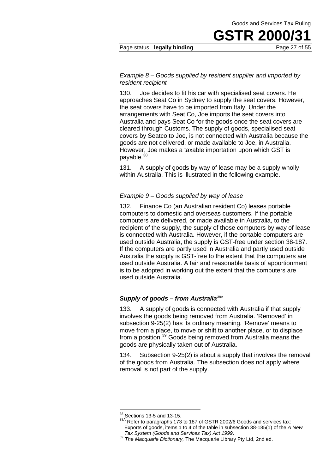#### Page status: **legally binding Page 27 of 55**

#### *Example 8 – Goods supplied by resident supplier and imported by resident recipient*

130. Joe decides to fit his car with specialised seat covers. He approaches Seat Co in Sydney to supply the seat covers. However, the seat covers have to be imported from Italy. Under the arrangements with Seat Co, Joe imports the seat covers into Australia and pays Seat Co for the goods once the seat covers are cleared through Customs. The supply of goods, specialised seat covers by Seatco to Joe, is not connected with Australia because the goods are not delivered, or made available to Joe, in Australia. However, Joe makes a taxable importation upon which GST is payable. $38$ 

131. A supply of goods by way of lease may be a supply wholly within Australia. This is illustrated in the following example.

#### *Example 9* – *Goods supplied by way of lease*

132. Finance Co (an Australian resident Co) leases portable computers to domestic and overseas customers. If the portable computers are delivered, or made available in Australia, to the recipient of the supply, the supply of those computers by way of lease is connected with Australia. However, if the portable computers are used outside Australia, the supply is GST-free under section 38-187. If the computers are partly used in Australia and partly used outside Australia the supply is GST-free to the extent that the computers are used outside Australia. A fair and reasonable basis of apportionment is to be adopted in working out the extent that the computers are used outside Australia.

#### **Supply of goods – from Australia**<sup>38A</sup>

133. A supply of goods is connected with Australia if that supply involves the goods being removed from Australia. 'Removed' in subsection 9-25(2) has its ordinary meaning. 'Remove' means to move from a place, to move or shift to another place, or to displace from a position.<sup>39</sup> Goods being removed from Australia means the goods are physically taken out of Australia.

134. Subsection 9-25(2) is about a supply that involves the removal of the goods from Australia. The subsection does not apply where removal is not part of the supply.

 $38$  Sections 13-5 and 13-15.

<sup>38</sup>A Refer to paragraphs 173 to 187 of GSTR 2002/6 Goods and services tax: Exports of goods, items 1 to 4 of the table in subsection 38-185(1) of the *A New* 

*Tax System (Goods and Services Tax) Act 1999*. 39 *The Macquarie Dictionary,* The Macquarie Library Pty Ltd, 2nd ed.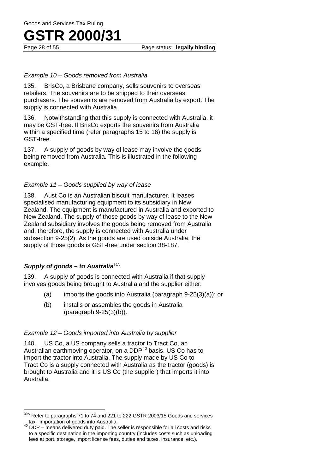Page status: **legally binding** 

#### *Example 10 – Goods removed from Australia*

135. BrisCo, a Brisbane company, sells souvenirs to overseas retailers. The souvenirs are to be shipped to their overseas purchasers. The souvenirs are removed from Australia by export. The supply is connected with Australia.

136. Notwithstanding that this supply is connected with Australia, it may be GST-free. If BrisCo exports the souvenirs from Australia within a specified time (refer paragraphs 15 to 16) the supply is GST-free.

137. A supply of goods by way of lease may involve the goods being removed from Australia. This is illustrated in the following example.

#### *Example 11 – Goods supplied by way of lease*

138. Aust Co is an Australian biscuit manufacturer. It leases specialised manufacturing equipment to its subsidiary in New Zealand. The equipment is manufactured in Australia and exported to New Zealand. The supply of those goods by way of lease to the New Zealand subsidiary involves the goods being removed from Australia and, therefore, the supply is connected with Australia under subsection 9-25(2). As the goods are used outside Australia, the supply of those goods is GST-free under section 38-187.

#### *Supply of goods – to Australia*39A

 $\overline{\phantom{a}}$ 

139. A supply of goods is connected with Australia if that supply involves goods being brought to Australia and the supplier either:

- (a) imports the goods into Australia (paragraph 9-25(3)(a)); or
- (b) installs or assembles the goods in Australia (paragraph 9-25(3)(b)).

#### *Example 12 – Goods imported into Australia by supplier*

140. US Co, a US company sells a tractor to Tract Co, an Australian earthmoving operator, on a DDP<sup>40</sup> basis. US Co has to import the tractor into Australia. The supply made by US Co to Tract Co is a supply connected with Australia as the tractor (goods) is brought to Australia and it is US Co (the supplier) that imports it into Australia.

 $^{\text{A}}$  Refer to paragraphs 71 to 74 and 221 to 222 GSTR 2003/15 Goods and services tax: importation of goods into Australia.

 $40$  DDP – means delivered duty paid. The seller is responsible for all costs and risks to a specific destination in the importing country (includes costs such as unloading fees at port, storage, import license fees, duties and taxes, insurance, etc.).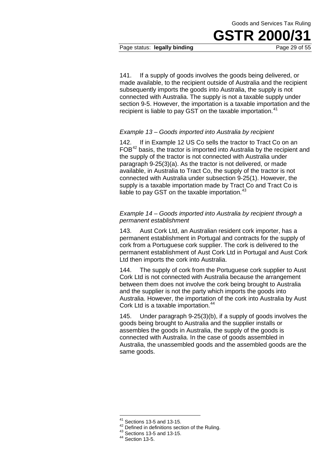Page status: **legally binding** 

141. If a supply of goods involves the goods being delivered, or made available, to the recipient outside of Australia and the recipient subsequently imports the goods into Australia, the supply is not connected with Australia. The supply is not a taxable supply under section 9-5. However, the importation is a taxable importation and the recipient is liable to pay GST on the taxable importation.<sup>41</sup>

#### *Example 13 – Goods imported into Australia by recipient*

142. If in Example 12 US Co sells the tractor to Tract Co on an  $FOB<sup>42</sup>$  basis, the tractor is imported into Australia by the recipient and the supply of the tractor is not connected with Australia under paragraph 9-25(3)(a). As the tractor is not delivered, or made available, in Australia to Tract Co, the supply of the tractor is not connected with Australia under subsection 9-25(1). However, the supply is a taxable importation made by Tract Co and Tract Co is liable to pay GST on the taxable importation.<sup>43</sup>

#### *Example 14 – Goods imported into Australia by recipient through a permanent establishment*

143. Aust Cork Ltd, an Australian resident cork importer, has a permanent establishment in Portugal and contracts for the supply of cork from a Portuguese cork supplier. The cork is delivered to the permanent establishment of Aust Cork Ltd in Portugal and Aust Cork Ltd then imports the cork into Australia.

144. The supply of cork from the Portuguese cork supplier to Aust Cork Ltd is not connected with Australia because the arrangement between them does not involve the cork being brought to Australia and the supplier is not the party which imports the goods into Australia. However, the importation of the cork into Australia by Aust Cork Ltd is a taxable importation.<sup>44</sup>

145. Under paragraph 9-25(3)(b), if a supply of goods involves the goods being brought to Australia and the supplier installs or assembles the goods in Australia, the supply of the goods is connected with Australia. In the case of goods assembled in Australia, the unassembled goods and the assembled goods are the same goods.

 $41$  Sections 13-5 and 13-15.

<sup>42</sup> Defined in definitions section of the Ruling.<br>
43 Sections 13-5 and 13-15.<br>
44 Section 13-5.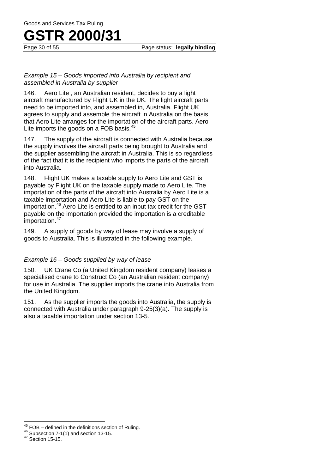Page status: **legally binding** 

#### *Example 15* – *Goods imported into Australia by recipient and assembled in Australia by supplier*

146. Aero Lite , an Australian resident, decides to buy a light aircraft manufactured by Flight UK in the UK. The light aircraft parts need to be imported into, and assembled in, Australia. Flight UK agrees to supply and assemble the aircraft in Australia on the basis that Aero Lite arranges for the importation of the aircraft parts. Aero Lite imports the goods on a FOB basis.<sup>45</sup>

147. The supply of the aircraft is connected with Australia because the supply involves the aircraft parts being brought to Australia and the supplier assembling the aircraft in Australia. This is so regardless of the fact that it is the recipient who imports the parts of the aircraft into Australia.

148. Flight UK makes a taxable supply to Aero Lite and GST is payable by Flight UK on the taxable supply made to Aero Lite. The importation of the parts of the aircraft into Australia by Aero Lite is a taxable importation and Aero Lite is liable to pay GST on the importation.<sup>46</sup> Aero Lite is entitled to an input tax credit for the GST payable on the importation provided the importation is a creditable importation.<sup>47</sup>

149. A supply of goods by way of lease may involve a supply of goods to Australia. This is illustrated in the following example.

#### *Example 16 – Goods supplied by way of lease*

150. UK Crane Co (a United Kingdom resident company) leases a specialised crane to Construct Co (an Australian resident company) for use in Australia. The supplier imports the crane into Australia from the United Kingdom.

151. As the supplier imports the goods into Australia, the supply is connected with Australia under paragraph 9-25(3)(a). The supply is also a taxable importation under section 13-5.

 $\overline{\phantom{a}}$ 

<sup>&</sup>lt;sup>45</sup> FOB – defined in the definitions section of Ruling.<br><sup>46</sup> Subsection 7-1(1) and section 13-15.<br><sup>47</sup> Section 15-15.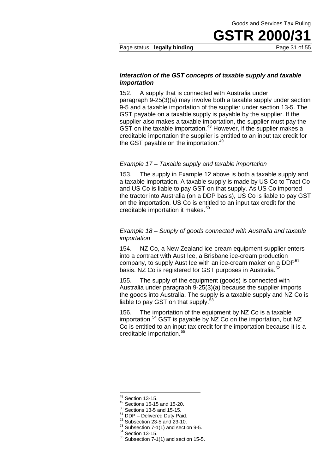#### Page status: **legally binding Page 31 of 55**

#### *Interaction of the GST concepts of taxable supply and taxable importation*

152. A supply that is connected with Australia under paragraph 9-25(3)(a) may involve both a taxable supply under section 9-5 and a taxable importation of the supplier under section 13-5. The GST payable on a taxable supply is payable by the supplier. If the supplier also makes a taxable importation, the supplier must pay the GST on the taxable importation.<sup>48</sup> However, if the supplier makes a creditable importation the supplier is entitled to an input tax credit for the GST payable on the importation.<sup>49</sup>

#### *Example 17 – Taxable supply and taxable importation*

153. The supply in Example 12 above is both a taxable supply and a taxable importation. A taxable supply is made by US Co to Tract Co and US Co is liable to pay GST on that supply. As US Co imported the tractor into Australia (on a DDP basis), US Co is liable to pay GST on the importation. US Co is entitled to an input tax credit for the creditable importation it makes.<sup>50</sup>

#### *Example 18 – Supply of goods connected with Australia and taxable importation*

154. NZ Co, a New Zealand ice-cream equipment supplier enters into a contract with Aust Ice, a Brisbane ice-cream production company, to supply Aust Ice with an ice-cream maker on a DDP<sup>51</sup> basis. NZ Co is registered for GST purposes in Australia.<sup>52</sup>

155. The supply of the equipment (goods) is connected with Australia under paragraph 9-25(3)(a) because the supplier imports the goods into Australia. The supply is a taxable supply and NZ Co is liable to pay GST on that supply. $53$ 

156. The importation of the equipment by NZ Co is a taxable importation.<sup>54</sup> GST is payable by NZ Co on the importation, but NZ Co is entitled to an input tax credit for the importation because it is a creditable importation. 55

 $^{48}$  Section 13-15.

<sup>&</sup>lt;sup>49</sup> Sections 15-15 and 15-20.<br>
<sup>50</sup> Sections 13-5 and 15-15.<br>
<sup>51</sup> DDP – Delivered Duty Paid.<br>
<sup>52</sup> Subsection 23-5 and 23-10.<br>
<sup>53</sup> Subsection 7-1(1) and section 9-5.<br>
<sup>54</sup> Section 13-15.<br>
<sup>55</sup> Subsection 7-1(1) and sec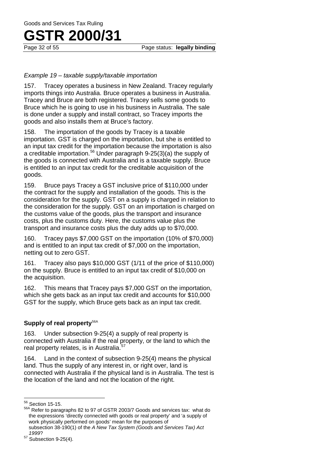Page status: **legally binding** 

#### *Example 19 – taxable supply/taxable importation*

157. Tracey operates a business in New Zealand. Tracey regularly imports things into Australia. Bruce operates a business in Australia. Tracey and Bruce are both registered. Tracey sells some goods to Bruce which he is going to use in his business in Australia. The sale is done under a supply and install contract, so Tracey imports the goods and also installs them at Bruce's factory.

158. The importation of the goods by Tracey is a taxable importation. GST is charged on the importation, but she is entitled to an input tax credit for the importation because the importation is also a creditable importation.<sup>56</sup> Under paragraph 9-25(3)(a) the supply of the goods is connected with Australia and is a taxable supply. Bruce is entitled to an input tax credit for the creditable acquisition of the goods.

159. Bruce pays Tracey a GST inclusive price of \$110,000 under the contract for the supply and installation of the goods. This is the consideration for the supply. GST on a supply is charged in relation to the consideration for the supply. GST on an importation is charged on the customs value of the goods, plus the transport and insurance costs, plus the customs duty. Here, the customs value plus the transport and insurance costs plus the duty adds up to \$70,000.

160. Tracey pays \$7,000 GST on the importation (10% of \$70,000) and is entitled to an input tax credit of \$7,000 on the importation, netting out to zero GST.

161. Tracey also pays \$10,000 GST (1/11 of the price of \$110,000) on the supply. Bruce is entitled to an input tax credit of \$10,000 on the acquisition.

162. This means that Tracey pays \$7,000 GST on the importation, which she gets back as an input tax credit and accounts for \$10,000 GST for the supply, which Bruce gets back as an input tax credit.

#### **Supply of real property<sup>56A</sup>**

163. Under subsection 9-25(4) a supply of real property is connected with Australia if the real property, or the land to which the real property relates, is in Australia.<sup>57</sup>

164. Land in the context of subsection 9-25(4) means the physical land. Thus the supply of any interest in, or right over, land is connected with Australia if the physical land is in Australia. The test is the location of the land and not the location of the right.

 $56$  Section 15-15.

<sup>56</sup> Section 15-15. 56A Refer to paragraphs 82 to 97 of GSTR 2003/7 Goods and services tax: what do the expressions 'directly connected with goods or real property' and 'a supply of work physically performed on goods' mean for the purposes of subsection 38-190(1) of the *A New Tax System (Goods and Services Tax) Act* 

*<sup>1999</sup>*? 57 Subsection 9-25(4).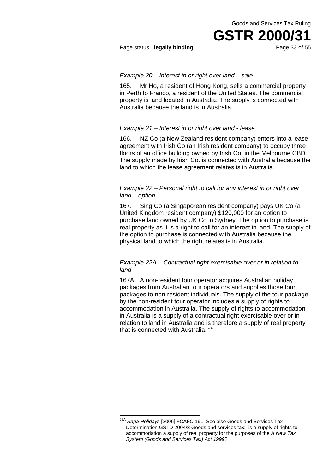#### Page status: **legally binding** Page 33 of 55

#### *Example 20 – Interest in or right over land – sale*

165. Mr Ho, a resident of Hong Kong, sells a commercial property in Perth to Franco, a resident of the United States. The commercial property is land located in Australia. The supply is connected with Australia because the land is in Australia.

#### *Example 21 – Interest in or right over land - lease*

166. NZ Co (a New Zealand resident company) enters into a lease agreement with Irish Co (an Irish resident company) to occupy three floors of an office building owned by Irish Co. in the Melbourne CBD. The supply made by Irish Co. is connected with Australia because the land to which the lease agreement relates is in Australia.

#### *Example 22 – Personal right to call for any interest in or right over land – option*

167. Sing Co (a Singaporean resident company) pays UK Co (a United Kingdom resident company) \$120,000 for an option to purchase land owned by UK Co in Sydney. The option to purchase is real property as it is a right to call for an interest in land. The supply of the option to purchase is connected with Australia because the physical land to which the right relates is in Australia.

#### *Example 22A – Contractual right exercisable over or in relation to land*

167A. A non-resident tour operator acquires Australian holiday packages from Australian tour operators and supplies those tour packages to non-resident individuals. The supply of the tour package by the non-resident tour operator includes a supply of rights to accommodation in Australia. The supply of rights to accommodation in Australia is a supply of a contractual right exercisable over or in relation to land in Australia and is therefore a supply of real property that is connected with Australia.<sup>57A</sup>

 $\overline{\phantom{a}}$ 

<sup>57</sup>A *Saga Holidays* [2006] FCAFC 191. See also Goods and Services Tax Determination GSTD 2004/3 Goods and services tax: is a supply of rights to accommodation a supply of real property for the purposes of the *A New Tax System (Goods and Services Tax) Act 1999*?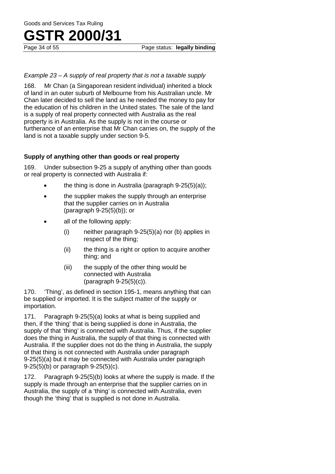## **GSTR 2000/31**<br>Page 34 of 55

#### *Example 23 – A supply of real property that is not a taxable supply*

168. Mr Chan (a Singaporean resident individual) inherited a block of land in an outer suburb of Melbourne from his Australian uncle. Mr Chan later decided to sell the land as he needed the money to pay for the education of his children in the United states. The sale of the land is a supply of real property connected with Australia as the real property is in Australia. As the supply is not in the course or furtherance of an enterprise that Mr Chan carries on, the supply of the land is not a taxable supply under section 9-5.

#### **Supply of anything other than goods or real property**

169. Under subsection 9-25 a supply of anything other than goods or real property is connected with Australia if:

- the thing is done in Australia (paragraph  $9-25(5)(a)$ );
- the supplier makes the supply through an enterprise that the supplier carries on in Australia (paragraph 9-25(5)(b)); or
- all of the following apply:
	- (i) neither paragraph 9-25(5)(a) nor (b) applies in respect of the thing;
	- (ii) the thing is a right or option to acquire another thing; and
	- (iii) the supply of the other thing would be connected with Australia (paragraph 9-25(5)(c)).

170. 'Thing', as defined in section 195-1, means anything that can be supplied or imported. It is the subject matter of the supply or importation.

171. Paragraph 9-25(5)(a) looks at what is being supplied and then, if the 'thing' that is being supplied is done in Australia, the supply of that 'thing' is connected with Australia. Thus, if the supplier does the thing in Australia, the supply of that thing is connected with Australia. If the supplier does not do the thing in Australia, the supply of that thing is not connected with Australia under paragraph 9-25(5)(a) but it may be connected with Australia under paragraph 9-25(5)(b) or paragraph 9-25(5)(c).

172. Paragraph 9-25(5)(b) looks at where the supply is made. If the supply is made through an enterprise that the supplier carries on in Australia, the supply of a 'thing' is connected with Australia, even though the 'thing' that is supplied is not done in Australia.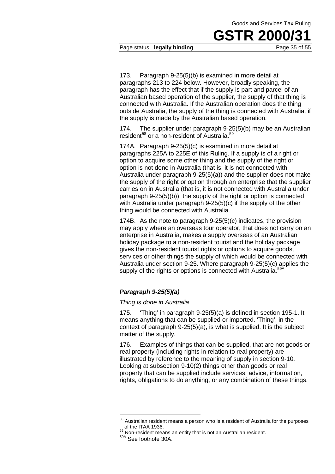#### Page status: **legally binding Page 35 of 55**

173. Paragraph 9-25(5)(b) is examined in more detail at paragraphs 213 to 224 below. However, broadly speaking, the paragraph has the effect that if the supply is part and parcel of an Australian based operation of the supplier, the supply of that thing is connected with Australia. If the Australian operation does the thing outside Australia, the supply of the thing is connected with Australia, if the supply is made by the Australian based operation.

174. The supplier under paragraph 9-25(5)(b) may be an Australian resident<sup>58</sup> or a non-resident of Australia.<sup>59</sup>

174A. Paragraph 9-25(5)(c) is examined in more detail at paragraphs 225A to 225E of this Ruling. If a supply is of a right or option to acquire some other thing and the supply of the right or option is not done in Australia (that is, it is not connected with Australia under paragraph 9-25(5)(a)) and the supplier does not make the supply of the right or option through an enterprise that the supplier carries on in Australia (that is, it is not connected with Australia under paragraph 9-25(5)(b)), the supply of the right or option is connected with Australia under paragraph 9-25(5)(c) if the supply of the other thing would be connected with Australia.

174B. As the note to paragraph 9-25(5)(c) indicates, the provision may apply where an overseas tour operator, that does not carry on an enterprise in Australia, makes a supply overseas of an Australian holiday package to a non-resident tourist and the holiday package gives the non-resident tourist rights or options to acquire goods, services or other things the supply of which would be connected with Australia under section 9-25. Where paragraph 9-25(5)(c) applies the supply of the rights or options is connected with Australia.<sup>5</sup>

#### *Paragraph 9-25(5)(a)*

#### *Thing is done in Australia*

175. 'Thing' in paragraph 9-25(5)(a) is defined in section 195-1. It means anything that can be supplied or imported. 'Thing', in the context of paragraph 9-25(5)(a), is what is supplied. It is the subject matter of the supply.

176. Examples of things that can be supplied, that are not goods or real property (including rights in relation to real property) are illustrated by reference to the meaning of supply in section 9-10. Looking at subsection 9-10(2) things other than goods or real property that can be supplied include services, advice, information, rights, obligations to do anything, or any combination of these things.

<u>.</u>

 $58$  Australian resident means a person who is a resident of Australia for the purposes of the ITAA 1936.<br><sup>59</sup> Non-resident means an entity that is not an Australian resident.<br><sup>59A</sup> See footnote 30A.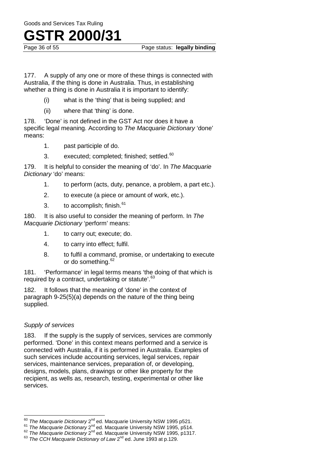Goods and Services Tax Ruling

### **GSTR 2000/31**<br>Page 36 of 55

Page status: **legally binding** 

177. A supply of any one or more of these things is connected with Australia, if the thing is done in Australia. Thus, in establishing whether a thing is done in Australia it is important to identify:

- (i) what is the 'thing' that is being supplied; and
- (ii) where that 'thing' is done.

178. 'Done' is not defined in the GST Act nor does it have a specific legal meaning. According to *The Macquarie Dictionary* 'done' means:

- 1. past participle of do.
- 3. executed; completed; finished; settled.<sup>60</sup>

179. It is helpful to consider the meaning of 'do'. In *The Macquarie Dictionary* 'do' means:

- 1. to perform (acts, duty, penance, a problem, a part etc.).
- 2. to execute (a piece or amount of work, etc.).
- 3. to accomplish; finish.<sup>61</sup>

180. It is also useful to consider the meaning of perform. In *The Macquarie Dictionary* 'perform' means:

- 1. to carry out; execute; do.
- 4. to carry into effect; fulfil.
- 8. to fulfil a command, promise, or undertaking to execute or do something.<sup>62</sup>

181. 'Performance' in legal terms means 'the doing of that which is required by a contract, undertaking or statute'.<sup>63</sup>

182. It follows that the meaning of 'done' in the context of paragraph 9-25(5)(a) depends on the nature of the thing being supplied.

#### *Supply of services*

183. If the supply is the supply of services, services are commonly performed. 'Done' in this context means performed and a service is connected with Australia, if it is performed in Australia. Examples of such services include accounting services, legal services, repair services, maintenance services, preparation of, or developing, designs, models, plans, drawings or other like property for the recipient, as wells as, research, testing, experimental or other like services.

<sup>&</sup>lt;sup>60</sup> The Macquarie Dictionary 2<sup>nd</sup> ed. Macquarie University NSW 1995 p521.

The Macquarie Dictionary 2<sup>nd</sup> ed. Macquarie University NSW 1995, p514.<br><sup>61</sup> The Macquarie Dictionary 2<sup>nd</sup> ed. Macquarie University NSW 1995, p514.<br><sup>62</sup> The Macquarie Dictionary 2<sup>nd</sup> ed. Macquarie University NSW 1995, p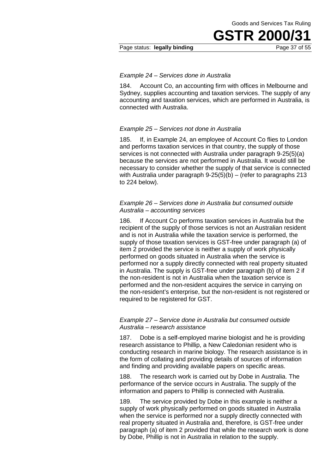#### Page status: **legally binding** Page 37 of 55

#### *Example 24* – *Services done in Australia*

184. Account Co, an accounting firm with offices in Melbourne and Sydney, supplies accounting and taxation services. The supply of any accounting and taxation services, which are performed in Australia, is connected with Australia.

#### *Example 25* – *Services not done in Australia*

185. If, in Example 24, an employee of Account Co flies to London and performs taxation services in that country, the supply of those services is not connected with Australia under paragraph 9-25(5)(a) because the services are not performed in Australia. It would still be necessary to consider whether the supply of that service is connected with Australia under paragraph 9-25(5)(b) – (refer to paragraphs 213 to 224 below).

#### *Example 26* – *Services done in Australia but consumed outside Australia – accounting services*

186. If Account Co performs taxation services in Australia but the recipient of the supply of those services is not an Australian resident and is not in Australia while the taxation service is performed, the supply of those taxation services is GST-free under paragraph (a) of item 2 provided the service is neither a supply of work physically performed on goods situated in Australia when the service is performed nor a supply directly connected with real property situated in Australia. The supply is GST-free under paragraph (b) of item 2 if the non-resident is not in Australia when the taxation service is performed and the non-resident acquires the service in carrying on the non-resident's enterprise, but the non-resident is not registered or required to be registered for GST.

#### *Example 27 – Service done in Australia but consumed outside Australia – research assistance*

187. Dobe is a self-employed marine biologist and he is providing research assistance to Phillip, a New Caledonian resident who is conducting research in marine biology. The research assistance is in the form of collating and providing details of sources of information and finding and providing available papers on specific areas.

188. The research work is carried out by Dobe in Australia. The performance of the service occurs in Australia. The supply of the information and papers to Phillip is connected with Australia.

189. The service provided by Dobe in this example is neither a supply of work physically performed on goods situated in Australia when the service is performed nor a supply directly connected with real property situated in Australia and, therefore, is GST-free under paragraph (a) of item 2 provided that while the research work is done by Dobe, Phillip is not in Australia in relation to the supply.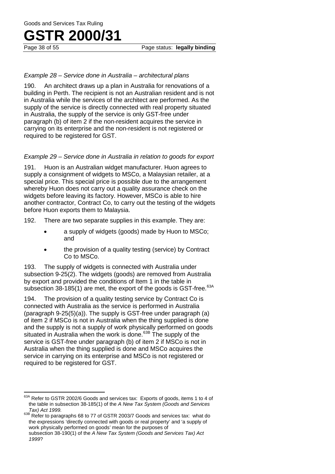## **GSTR 2000/31**<br>Page 38 of 55

#### *Example 28 – Service done in Australia – architectural plans*

190. An architect draws up a plan in Australia for renovations of a building in Perth. The recipient is not an Australian resident and is not in Australia while the services of the architect are performed. As the supply of the service is directly connected with real property situated in Australia, the supply of the service is only GST-free under paragraph (b) of item 2 if the non-resident acquires the service in carrying on its enterprise and the non-resident is not registered or required to be registered for GST.

#### *Example 29 – Service done in Australia in relation to goods for export*

191. Huon is an Australian widget manufacturer. Huon agrees to supply a consignment of widgets to MSCo, a Malaysian retailer, at a special price. This special price is possible due to the arrangement whereby Huon does not carry out a quality assurance check on the widgets before leaving its factory. However, MSCo is able to hire another contractor, Contract Co, to carry out the testing of the widgets before Huon exports them to Malaysia.

192. There are two separate supplies in this example. They are:

- a supply of widgets (goods) made by Huon to MSCo; and
- the provision of a quality testing (service) by Contract Co to MSCo.

193. The supply of widgets is connected with Australia under subsection 9-25(2). The widgets (goods) are removed from Australia by export and provided the conditions of Item 1 in the table in subsection 38-185(1) are met, the export of the goods is GST-free. $63A$ 

194. The provision of a quality testing service by Contract Co is connected with Australia as the service is performed in Australia (paragraph 9-25(5)(a)). The supply is GST-free under paragraph (a) of item 2 if MSCo is not in Australia when the thing supplied is done and the supply is not a supply of work physically performed on goods situated in Australia when the work is done.<sup>63B</sup> The supply of the service is GST-free under paragraph (b) of item 2 if MSCo is not in Australia when the thing supplied is done and MSCo acquires the service in carrying on its enterprise and MSCo is not registered or required to be registered for GST.

 $63A$  Refer to GSTR 2002/6 Goods and services tax: Exports of goods, items 1 to 4 of the table in subsection 38-185(1) of the *A New Tax System (Goods and Services*   $\overline{\phantom{a}}$ 

*Tax) Act 1999.*<br><sup>63B</sup> Refer to paragraphs 68 to 77 of GSTR 2003/7 Goods and services tax: what do the expressions 'directly connected with goods or real property' and 'a supply of work physically performed on goods' mean for the purposes of subsection 38-190(1) of the *A New Tax System (Goods and Services Tax) Act 1999*?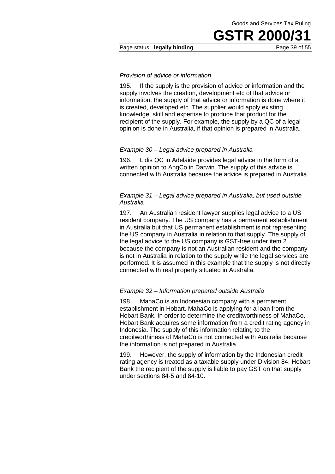#### Page status: **legally binding** Page 39 of 55

#### *Provision of advice or information*

195. If the supply is the provision of advice or information and the supply involves the creation, development etc of that advice or information, the supply of that advice or information is done where it is created, developed etc. The supplier would apply existing knowledge, skill and expertise to produce that product for the recipient of the supply. For example, the supply by a QC of a legal opinion is done in Australia, if that opinion is prepared in Australia.

#### *Example 30 – Legal advice prepared in Australia*

196. Lidis QC in Adelaide provides legal advice in the form of a written opinion to AngCo in Darwin. The supply of this advice is connected with Australia because the advice is prepared in Australia.

#### *Example 31 – Legal advice prepared in Australia, but used outside Australia*

197. An Australian resident lawyer supplies legal advice to a US resident company. The US company has a permanent establishment in Australia but that US permanent establishment is not representing the US company in Australia in relation to that supply. The supply of the legal advice to the US company is GST-free under item 2 because the company is not an Australian resident and the company is not in Australia in relation to the supply while the legal services are performed. It is assumed in this example that the supply is not directly connected with real property situated in Australia.

#### *Example 32 – Information prepared outside Australia*

198. MahaCo is an Indonesian company with a permanent establishment in Hobart. MahaCo is applying for a loan from the Hobart Bank. In order to determine the creditworthiness of MahaCo, Hobart Bank acquires some information from a credit rating agency in Indonesia. The supply of this information relating to the creditworthiness of MahaCo is not connected with Australia because the information is not prepared in Australia.

199. However, the supply of information by the Indonesian credit rating agency is treated as a taxable supply under Division 84. Hobart Bank the recipient of the supply is liable to pay GST on that supply under sections 84-5 and 84-10.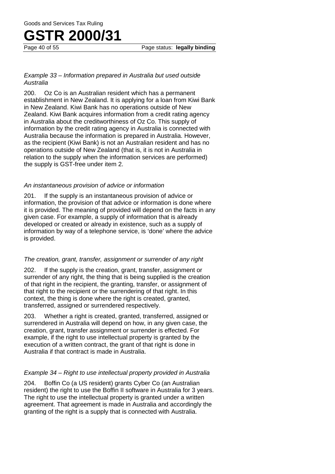## **GSTR 2000/31**<br>Page 40 of 55

#### *Example 33 – Information prepared in Australia but used outside Australia*

200. Oz Co is an Australian resident which has a permanent establishment in New Zealand. It is applying for a loan from Kiwi Bank in New Zealand. Kiwi Bank has no operations outside of New Zealand. Kiwi Bank acquires information from a credit rating agency in Australia about the creditworthiness of Oz Co. This supply of information by the credit rating agency in Australia is connected with Australia because the information is prepared in Australia. However, as the recipient (Kiwi Bank) is not an Australian resident and has no operations outside of New Zealand (that is, it is not in Australia in relation to the supply when the information services are performed) the supply is GST-free under item 2.

#### *An instantaneous provision of advice or information*

201. If the supply is an instantaneous provision of advice or information, the provision of that advice or information is done where it is provided. The meaning of provided will depend on the facts in any given case. For example, a supply of information that is already developed or created or already in existence, such as a supply of information by way of a telephone service, is 'done' where the advice is provided.

#### *The creation, grant, transfer, assignment or surrender of any right*

202. If the supply is the creation, grant, transfer, assignment or surrender of any right, the thing that is being supplied is the creation of that right in the recipient, the granting, transfer, or assignment of that right to the recipient or the surrendering of that right. In this context, the thing is done where the right is created, granted, transferred, assigned or surrendered respectively.

203. Whether a right is created, granted, transferred, assigned or surrendered in Australia will depend on how, in any given case, the creation, grant, transfer assignment or surrender is effected. For example, if the right to use intellectual property is granted by the execution of a written contract, the grant of that right is done in Australia if that contract is made in Australia.

#### *Example 34 – Right to use intellectual property provided in Australia*

204. Boffin Co (a US resident) grants Cyber Co (an Australian resident) the right to use the Boffin II software in Australia for 3 years. The right to use the intellectual property is granted under a written agreement. That agreement is made in Australia and accordingly the granting of the right is a supply that is connected with Australia.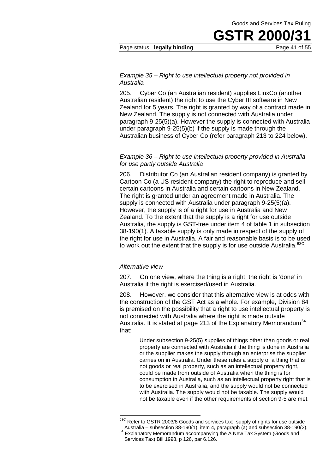#### Page status: **legally binding** Page 41 of 55

#### *Example 35 – Right to use intellectual property not provided in Australia*

205. Cyber Co (an Australian resident) supplies LinxCo (another Australian resident) the right to use the Cyber III software in New Zealand for 5 years. The right is granted by way of a contract made in New Zealand. The supply is not connected with Australia under paragraph 9-25(5)(a). However the supply is connected with Australia under paragraph 9-25(5)(b) if the supply is made through the Australian business of Cyber Co (refer paragraph 213 to 224 below).

#### *Example 36 – Right to use intellectual property provided in Australia for use partly outside Australia*

206. Distributor Co (an Australian resident company) is granted by Cartoon Co (a US resident company) the right to reproduce and sell certain cartoons in Australia and certain cartoons in New Zealand. The right is granted under an agreement made in Australia. The supply is connected with Australia under paragraph 9-25(5)(a). However, the supply is of a right for use in Australia and New Zealand. To the extent that the supply is a right for use outside Australia, the supply is GST-free under item 4 of table 1 in subsection 38-190(1). A taxable supply is only made in respect of the supply of the right for use in Australia. A fair and reasonable basis is to be used to work out the extent that the supply is for use outside Australia.<sup>63C</sup>

#### *Alternative view*

 $\overline{\phantom{a}}$ 

207. On one view, where the thing is a right, the right is 'done' in Australia if the right is exercised/used in Australia.

208. However, we consider that this alternative view is at odds with the construction of the GST Act as a whole. For example, Division 84 is premised on the possibility that a right to use intellectual property is not connected with Australia where the right is made outside Australia. It is stated at page 213 of the Explanatory Memorandum<sup>64</sup> that:

> Under subsection 9-25(5) supplies of things other than goods or real property are connected with Australia if the thing is done in Australia or the supplier makes the supply through an enterprise the supplier carries on in Australia. Under these rules a supply of a thing that is not goods or real property, such as an intellectual property right, could be made from outside of Australia when the thing is for consumption in Australia, such as an intellectual property right that is to be exercised in Australia, and the supply would not be connected with Australia. The supply would not be taxable. The supply would not be taxable even if the other requirements of section 9-5 are met.

<sup>&</sup>lt;sup>63C</sup> Refer to GSTR 2003/8 Goods and services tax: supply of rights for use outside Australia – subsection 38-190(1), item 4, paragraph (a) and subsection 38-190(2).  $64$  Explanatory Memorandum accompanying the A New Tax System (Goods and

Services Tax) Bill 1998, p 126, par 6.126.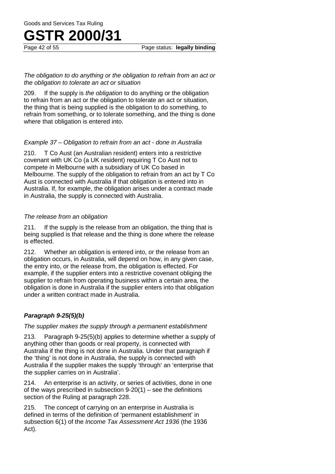Page status: **legally binding** 

#### *The obligation to do anything or the obligation to refrain from an act or the obligation to tolerate an act or situation*

209. If the supply is *the obligation* to do anything or the obligation to refrain from an act or the obligation to tolerate an act or situation, the thing that is being supplied is the obligation to do something, to refrain from something, or to tolerate something, and the thing is done where that obligation is entered into.

#### *Example 37 – Obligation to refrain from an act - done in Australia*

210. T Co Aust (an Australian resident) enters into a restrictive covenant with UK Co (a UK resident) requiring T Co Aust not to compete in Melbourne with a subsidiary of UK Co based in Melbourne. The supply of the obligation to refrain from an act by T Co Aust is connected with Australia if that obligation is entered into in Australia. If, for example, the obligation arises under a contract made in Australia, the supply is connected with Australia.

#### *The release from an obligation*

211. If the supply is the release from an obligation, the thing that is being supplied is that release and the thing is done where the release is effected.

212. Whether an obligation is entered into, or the release from an obligation occurs, in Australia, will depend on how, in any given case, the entry into, or the release from, the obligation is effected. For example, if the supplier enters into a restrictive covenant obliging the supplier to refrain from operating business within a certain area, the obligation is done in Australia if the supplier enters into that obligation under a written contract made in Australia.

#### *Paragraph 9-25(5)(b)*

*The supplier makes the supply through a permanent establishment*

213. Paragraph 9-25(5)(b) applies to determine whether a supply of anything other than goods or real property, is connected with Australia if the thing is not done in Australia. Under that paragraph if the 'thing' is not done in Australia, the supply is connected with Australia if the supplier makes the supply 'through' an 'enterprise that the supplier carries on in Australia'.

214. An enterprise is an activity, or series of activities, done in one of the ways prescribed in subsection 9-20(1) – see the definitions section of the Ruling at paragraph 228.

215. The concept of carrying on an enterprise in Australia is defined in terms of the definition of 'permanent establishment' in subsection 6(1) of the *Income Tax Assessment Act 1936* (the 1936 Act).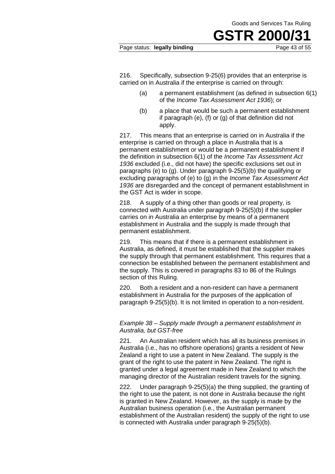#### Page status: legally binding

**GSTR 2000/31**<br>Page 43 of 55

216. Specifically, subsection 9-25(6) provides that an enterprise is carried on in Australia if the enterprise is carried on through:

- (a) a permanent establishment (as defined in subsection 6(1) of the *Income Tax Assessment Act 1936*); or
- (b) a place that would be such a permanent establishment if paragraph (e), (f) or (g) of that definition did not apply.

217. This means that an enterprise is carried on in Australia if the enterprise is carried on through a place in Australia that is a permanent establishment or would be a permanent establishment if the definition in subsection 6(1) of the *Income Tax Assessment Act 1936* excluded (i.e., did not have) the specific exclusions set out in paragraphs (e) to (g). Under paragraph 9-25(5)(b) the qualifying or excluding paragraphs of (e) to (g) in the *Income Tax Assessment Act 1936* are disregarded and the concept of permanent establishment in the GST Act is wider in scope.

218. A supply of a thing other than goods or real property, is connected with Australia under paragraph 9-25(5)(b) if the supplier carries on in Australia an enterprise by means of a permanent establishment in Australia and the supply is made through that permanent establishment.

219. This means that if there is a permanent establishment in Australia, as defined, it must be established that the supplier makes the supply through that permanent establishment. This requires that a connection be established between the permanent establishment and the supply. This is covered in paragraphs 83 to 86 of the Rulings section of this Ruling.

220. Both a resident and a non-resident can have a permanent establishment in Australia for the purposes of the application of paragraph 9-25(5)(b). It is not limited in operation to a non-resident.

#### *Example 38 – Supply made through a permanent establishment in Australia, but GST-free*

221. An Australian resident which has all its business premises in Australia (i.e., has no offshore operations) grants a resident of New Zealand a right to use a patent in New Zealand. The supply is the grant of the right to use the patent in New Zealand. The right is granted under a legal agreement made in New Zealand to which the managing director of the Australian resident travels for the signing.

222. Under paragraph 9-25(5)(a) the thing supplied, the granting of the right to use the patent, is not done in Australia because the right is granted in New Zealand. However, as the supply is made by the Australian business operation (i.e., the Australian permanent establishment of the Australian resident) the supply of the right to use is connected with Australia under paragraph 9-25(5)(b).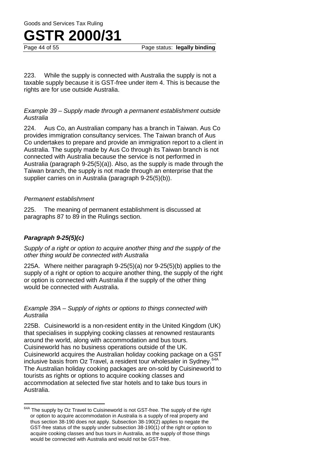Page status: **legally binding** 

223. While the supply is connected with Australia the supply is not a taxable supply because it is GST-free under item 4. This is because the rights are for use outside Australia.

#### *Example 39 – Supply made through a permanent establishment outside Australia*

224. Aus Co, an Australian company has a branch in Taiwan. Aus Co provides immigration consultancy services. The Taiwan branch of Aus Co undertakes to prepare and provide an immigration report to a client in Australia. The supply made by Aus Co through its Taiwan branch is not connected with Australia because the service is not performed in Australia (paragraph 9-25(5)(a)). Also, as the supply is made through the Taiwan branch, the supply is not made through an enterprise that the supplier carries on in Australia (paragraph 9-25(5)(b)).

#### *Permanent establishment*

225. The meaning of permanent establishment is discussed at paragraphs 87 to 89 in the Rulings section.

#### *Paragraph 9-25(5)(c)*

*Supply of a right or option to acquire another thing and the supply of the other thing would be connected with Australia*

225A. Where neither paragraph 9-25(5)(a) nor 9-25(5)(b) applies to the supply of a right or option to acquire another thing, the supply of the right or option is connected with Australia if the supply of the other thing would be connected with Australia.

#### *Example 39A – Supply of rights or options to things connected with Australia*

225B. Cuisineworld is a non-resident entity in the United Kingdom (UK) that specialises in supplying cooking classes at renowned restaurants around the world, along with accommodation and bus tours. Cuisineworld has no business operations outside of the UK. Cuisineworld acquires the Australian holiday cooking package on a GST inclusive basis from Oz Travel, a resident tour wholesaler in Sydney.<sup>64A</sup> The Australian holiday cooking packages are on-sold by Cuisineworld to tourists as rights or options to acquire cooking classes and accommodation at selected five star hotels and to take bus tours in Australia.

 $64A$  The supply by Oz Travel to Cuisineworld is not GST-free. The supply of the right or option to acquire accommodation in Australia is a supply of real property and thus section 38-190 does not apply. Subsection 38-190(2) applies to negate the GST-free status of the supply under subsection 38-190(1) of the right or option to acquire cooking classes and bus tours in Australia, as the supply of those things would be connected with Australia and would not be GST-free.  $\overline{\phantom{a}}$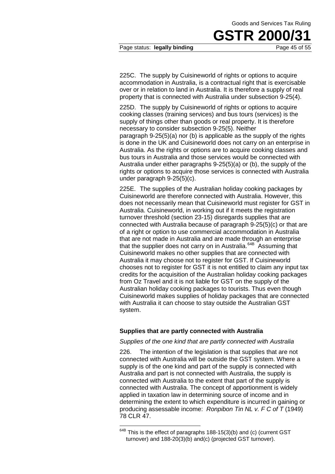#### Page status: **legally binding Page 45 of 55**

225C. The supply by Cuisineworld of rights or options to acquire accommodation in Australia, is a contractual right that is exercisable over or in relation to land in Australia. It is therefore a supply of real property that is connected with Australia under subsection 9-25(4).

225D. The supply by Cuisineworld of rights or options to acquire cooking classes (training services) and bus tours (services) is the supply of things other than goods or real property. It is therefore necessary to consider subsection 9-25(5). Neither paragraph 9-25(5)(a) nor (b) is applicable as the supply of the rights is done in the UK and Cuisineworld does not carry on an enterprise in Australia. As the rights or options are to acquire cooking classes and bus tours in Australia and those services would be connected with Australia under either paragraphs 9-25(5)(a) or (b), the supply of the rights or options to acquire those services is connected with Australia under paragraph 9-25(5)(c).

225E. The supplies of the Australian holiday cooking packages by Cuisineworld are therefore connected with Australia. However, this does not necessarily mean that Cuisineworld must register for GST in Australia. Cuisineworld, in working out if it meets the registration turnover threshold (section 23-15) disregards supplies that are connected with Australia because of paragraph 9-25(5)(c) or that are of a right or option to use commercial accommodation in Australia that are not made in Australia and are made through an enterprise that the supplier does not carry on in Australia.<sup>64B</sup> Assuming that Cuisineworld makes no other supplies that are connected with Australia it may choose not to register for GST. If Cuisineworld chooses not to register for GST it is not entitled to claim any input tax credits for the acquisition of the Australian holiday cooking packages from Oz Travel and it is not liable for GST on the supply of the Australian holiday cooking packages to tourists. Thus even though Cuisineworld makes supplies of holiday packages that are connected with Australia it can choose to stay outside the Australian GST system.

#### **Supplies that are partly connected with Australia**

#### *Supplies of the one kind that are partly connected with Australia*

226. The intention of the legislation is that supplies that are not connected with Australia will be outside the GST system. Where a supply is of the one kind and part of the supply is connected with Australia and part is not connected with Australia, the supply is connected with Australia to the extent that part of the supply is connected with Australia. The concept of apportionment is widely applied in taxation law in determining source of income and in determining the extent to which expenditure is incurred in gaining or producing assessable income: *Ronpibon Tin NL v. F C of T* (1949) 78 CLR 47.

This is the effect of paragraphs 188-15(3)(b) and (c) (current GST turnover) and 188-20(3)(b) and(c) (projected GST turnover). 64B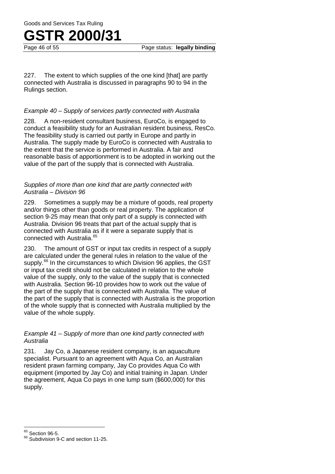Page status: **legally binding** 

227. The extent to which supplies of the one kind [that] are partly connected with Australia is discussed in paragraphs 90 to 94 in the Rulings section.

#### *Example 40* – *Supply of services partly connected with Australia*

228. A non-resident consultant business, EuroCo, is engaged to conduct a feasibility study for an Australian resident business, ResCo. The feasibility study is carried out partly in Europe and partly in Australia. The supply made by EuroCo is connected with Australia to the extent that the service is performed in Australia. A fair and reasonable basis of apportionment is to be adopted in working out the value of the part of the supply that is connected with Australia.

#### *Supplies of more than one kind that are partly connected with Australia – Division 96*

229. Sometimes a supply may be a mixture of goods, real property and/or things other than goods or real property. The application of section 9-25 may mean that only part of a supply is connected with Australia. Division 96 treats that part of the actual supply that is connected with Australia as if it were a separate supply that is connected with Australia.<sup>65</sup>

230. The amount of GST or input tax credits in respect of a supply are calculated under the general rules in relation to the value of the supply.<sup>66</sup> In the circumstances to which Division 96 applies, the GST or input tax credit should not be calculated in relation to the whole value of the supply, only to the value of the supply that is connected with Australia. Section 96-10 provides how to work out the value of the part of the supply that is connected with Australia. The value of the part of the supply that is connected with Australia is the proportion of the whole supply that is connected with Australia multiplied by the value of the whole supply.

#### *Example 41 – Supply of more than one kind partly connected with Australia*

231. Jay Co, a Japanese resident company, is an aquaculture specialist. Pursuant to an agreement with Aqua Co, an Australian resident prawn farming company, Jay Co provides Aqua Co with equipment (imported by Jay Co) and initial training in Japan. Under the agreement, Aqua Co pays in one lump sum (\$600,000) for this supply.

 $65$  Section 96-5.

<sup>&</sup>lt;sup>66</sup> Subdivision 9-C and section 11-25.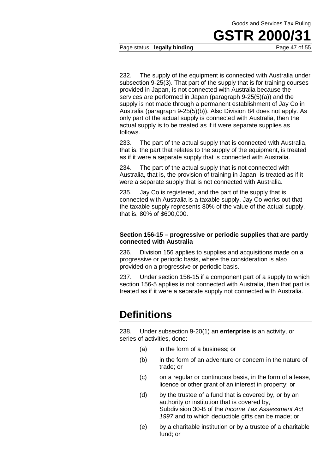# **GSTR 2000/31**<br>Page 47 of 55

#### Page status: legally binding

232. The supply of the equipment is connected with Australia under subsection 9-25(3). That part of the supply that is for training courses provided in Japan, is not connected with Australia because the services are performed in Japan (paragraph 9-25(5)(a)) and the supply is not made through a permanent establishment of Jay Co in Australia (paragraph 9-25(5)(b)). Also Division 84 does not apply. As only part of the actual supply is connected with Australia, then the actual supply is to be treated as if it were separate supplies as follows.

233. The part of the actual supply that is connected with Australia, that is, the part that relates to the supply of the equipment, is treated as if it were a separate supply that is connected with Australia.

234. The part of the actual supply that is not connected with Australia, that is, the provision of training in Japan, is treated as if it were a separate supply that is not connected with Australia.

235. Jay Co is registered, and the part of the supply that is connected with Australia is a taxable supply. Jay Co works out that the taxable supply represents 80% of the value of the actual supply, that is, 80% of \$600,000.

#### **Section 156-15 – progressive or periodic supplies that are partly connected with Australia**

236. Division 156 applies to supplies and acquisitions made on a progressive or periodic basis, where the consideration is also provided on a progressive or periodic basis.

237. Under section 156-15 if a component part of a supply to which section 156-5 applies is not connected with Australia, then that part is treated as if it were a separate supply not connected with Australia.

### **Definitions**

238. Under subsection 9-20(1) an **enterprise** is an activity, or series of activities, done:

- (a) in the form of a business; or
- (b) in the form of an adventure or concern in the nature of trade; or
- (c) on a regular or continuous basis, in the form of a lease, licence or other grant of an interest in property; or
- (d) by the trustee of a fund that is covered by, or by an authority or institution that is covered by, Subdivision 30-B of the *Income Tax Assessment Act 1997* and to which deductible gifts can be made; or
- (e) by a charitable institution or by a trustee of a charitable fund; or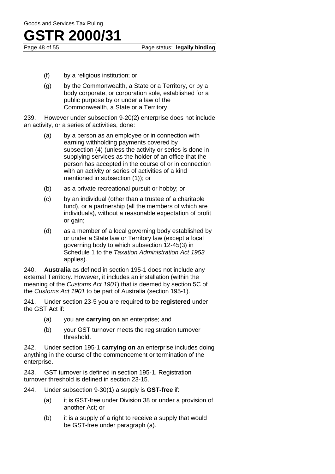# **GSTR 2000/31**<br>Page 48 of 55

Page status: legally binding

- (f) by a religious institution; or
- (g) by the Commonwealth, a State or a Territory, or by a body corporate, or corporation sole, established for a public purpose by or under a law of the Commonwealth, a State or a Territory.

239. However under subsection 9-20(2) enterprise does not include an activity, or a series of activities, done:

- (a) by a person as an employee or in connection with earning withholding payments covered by subsection (4) (unless the activity or series is done in supplying services as the holder of an office that the person has accepted in the course of or in connection with an activity or series of activities of a kind mentioned in subsection (1)); or
- (b) as a private recreational pursuit or hobby; or
- (c) by an individual (other than a trustee of a charitable fund), or a partnership (all the members of which are individuals), without a reasonable expectation of profit or gain;
- (d) as a member of a local governing body established by or under a State law or Territory law (except a local governing body to which subsection 12-45(3) in Schedule 1 to the *Taxation Administration Act 1953* applies).

240. **Australia** as defined in section 195-1 does not include any external Territory. However, it includes an installation (within the meaning of the *Customs Act 1901*) that is deemed by section 5C of the *Customs Act 1901* to be part of Australia (section 195-1).

241. Under section 23-5 you are required to be **registered** under the GST Act if:

- (a) you are **carrying on** an enterprise; and
- (b) your GST turnover meets the registration turnover threshold.

242. Under section 195-1 **carrying on** an enterprise includes doing anything in the course of the commencement or termination of the enterprise.

243. GST turnover is defined in section 195-1. Registration turnover threshold is defined in section 23-15.

- 244. Under subsection 9-30(1) a supply is **GST-free** if:
	- (a) it is GST-free under Division 38 or under a provision of another Act; or
	- (b) it is a supply of a right to receive a supply that would be GST-free under paragraph (a).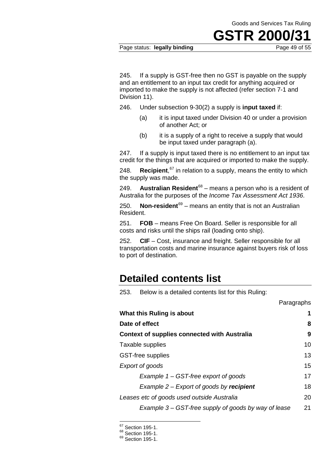### **GSTR 2000/31**<br>Page 49 of 55

#### Page status: legally binding

245. If a supply is GST-free then no GST is payable on the supply and an entitlement to an input tax credit for anything acquired or imported to make the supply is not affected (refer section 7-1 and Division 11).

246. Under subsection 9-30(2) a supply is **input taxed** if:

- (a) it is input taxed under Division 40 or under a provision of another Act; or
- (b) it is a supply of a right to receive a supply that would be input taxed under paragraph (a).

247. If a supply is input taxed there is no entitlement to an input tax credit for the things that are acquired or imported to make the supply.

248. **Recipient**, <sup>67</sup> in relation to a supply, means the entity to which the supply was made.

249. **Australian Resident**68 – means a person who is a resident of Australia for the purposes of the *Income Tax Assessment Act 1936*.

250. **Non-resident**69 – means an entity that is not an Australian Resident.

251. **FOB** – means Free On Board. Seller is responsible for all costs and risks until the ships rail (loading onto ship).

252. **CIF** – Cost, insurance and freight. Seller responsible for all transportation costs and marine insurance against buyers risk of loss to port of destination.

### **Detailed contents list**

253. Below is a detailed contents list for this Ruling:

|                                                      | Paragraphs |
|------------------------------------------------------|------------|
| What this Ruling is about                            | 1          |
| Date of effect                                       | 8          |
| <b>Context of supplies connected with Australia</b>  | 9          |
| Taxable supplies                                     | 10         |
| <b>GST-free supplies</b>                             | 13         |
| Export of goods                                      | 15         |
| Example 1 – GST-free export of goods                 | 17         |
| Example $2$ – Export of goods by recipient           | 18         |
| Leases etc of goods used outside Australia           | 20         |
| Example 3 – GST-free supply of goods by way of lease | 21         |

 $67$  Section 195-1.

 $^{68}$  Section 195-1.<br> $^{69}$  Section 195-1.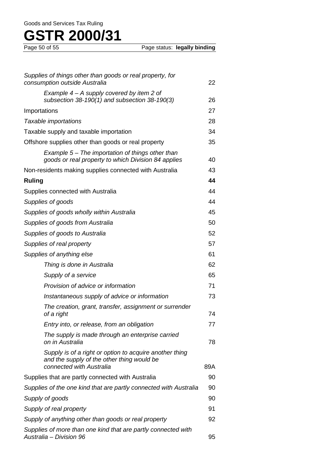| Supplies of things other than goods or real property, for<br>consumption outside Australia                                        | 22  |
|-----------------------------------------------------------------------------------------------------------------------------------|-----|
| Example $4 - A$ supply covered by item 2 of<br>subsection $38-190(1)$ and subsection $38-190(3)$                                  | 26  |
| Importations                                                                                                                      | 27  |
| Taxable importations                                                                                                              | 28  |
| Taxable supply and taxable importation                                                                                            | 34  |
| Offshore supplies other than goods or real property                                                                               | 35  |
| Example $5-$ The importation of things other than<br>goods or real property to which Division 84 applies                          | 40  |
| Non-residents making supplies connected with Australia                                                                            | 43  |
| <b>Ruling</b>                                                                                                                     | 44  |
| Supplies connected with Australia                                                                                                 | 44  |
| Supplies of goods                                                                                                                 | 44  |
| Supplies of goods wholly within Australia                                                                                         | 45  |
| Supplies of goods from Australia                                                                                                  | 50  |
| Supplies of goods to Australia                                                                                                    | 52  |
| Supplies of real property                                                                                                         | 57  |
| Supplies of anything else                                                                                                         | 61  |
| Thing is done in Australia                                                                                                        | 62  |
| Supply of a service                                                                                                               | 65  |
| Provision of advice or information                                                                                                | 71  |
| Instantaneous supply of advice or information                                                                                     | 73  |
| The creation, grant, transfer, assignment or surrender<br>of a right                                                              | 74  |
| Entry into, or release, from an obligation                                                                                        | 77  |
| The supply is made through an enterprise carried<br>on in Australia                                                               | 78  |
| Supply is of a right or option to acquire another thing<br>and the supply of the other thing would be<br>connected with Australia | 89A |
| Supplies that are partly connected with Australia                                                                                 | 90  |
| Supplies of the one kind that are partly connected with Australia                                                                 | 90  |
| Supply of goods                                                                                                                   | 90  |
| Supply of real property                                                                                                           | 91  |
| Supply of anything other than goods or real property                                                                              |     |
| Supplies of more than one kind that are partly connected with<br>Australia - Division 96                                          | 95  |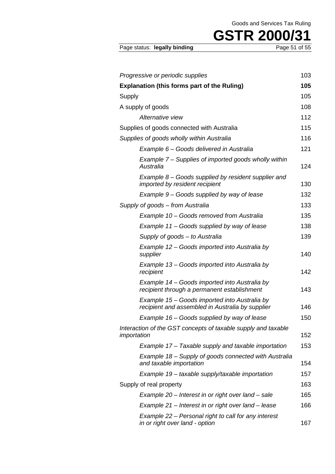| Page status: legally binding |  |  |  |
|------------------------------|--|--|--|
|------------------------------|--|--|--|

Page 51 of 55

| Progressive or periodic supplies                                                                  | 103 |
|---------------------------------------------------------------------------------------------------|-----|
| <b>Explanation (this forms part of the Ruling)</b>                                                | 105 |
| Supply                                                                                            | 105 |
| A supply of goods                                                                                 | 108 |
| Alternative view                                                                                  | 112 |
| Supplies of goods connected with Australia                                                        | 115 |
| Supplies of goods wholly within Australia                                                         | 116 |
| Example 6 - Goods delivered in Australia                                                          | 121 |
| Example 7 – Supplies of imported goods wholly within<br>Australia                                 | 124 |
| Example $8 -$ Goods supplied by resident supplier and<br>imported by resident recipient           | 130 |
| Example 9 – Goods supplied by way of lease                                                        | 132 |
| Supply of goods – from Australia                                                                  | 133 |
| Example 10 – Goods removed from Australia                                                         | 135 |
| Example 11 – Goods supplied by way of lease                                                       | 138 |
| Supply of goods - to Australia                                                                    | 139 |
| Example 12 – Goods imported into Australia by<br>supplier                                         | 140 |
| Example 13 – Goods imported into Australia by<br>recipient                                        | 142 |
| Example 14 – Goods imported into Australia by<br>recipient through a permanent establishment      | 143 |
| Example 15 – Goods imported into Australia by<br>recipient and assembled in Australia by supplier | 146 |
| Example 16 – Goods supplied by way of lease                                                       | 150 |
| Interaction of the GST concepts of taxable supply and taxable<br>importation                      | 152 |
| Example 17 – Taxable supply and taxable importation                                               | 153 |
| Example 18 – Supply of goods connected with Australia<br>and taxable importation                  | 154 |
| Example 19 - taxable supply/taxable importation                                                   | 157 |
| Supply of real property                                                                           | 163 |
| Example 20 – Interest in or right over land – sale                                                | 165 |
| Example 21 – Interest in or right over land – lease                                               | 166 |
| Example 22 – Personal right to call for any interest<br>in or right over land - option            | 167 |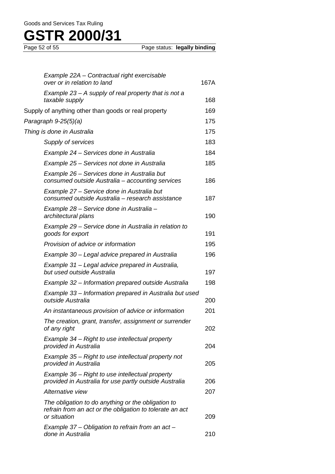| Example 22A - Contractual right exercisable<br>over or in relation to land                                                     | 167A |
|--------------------------------------------------------------------------------------------------------------------------------|------|
| Example 23 – A supply of real property that is not a<br>taxable supply                                                         | 168  |
| Supply of anything other than goods or real property                                                                           | 169  |
| Paragraph 9-25(5)(a)                                                                                                           | 175  |
| Thing is done in Australia                                                                                                     | 175  |
| Supply of services                                                                                                             | 183  |
| Example 24 – Services done in Australia                                                                                        | 184  |
| Example 25 – Services not done in Australia                                                                                    | 185  |
| Example 26 – Services done in Australia but<br>consumed outside Australia - accounting services                                | 186  |
| Example 27 – Service done in Australia but<br>consumed outside Australia - research assistance                                 | 187  |
| Example 28 – Service done in Australia –<br>architectural plans                                                                | 190  |
| Example 29 – Service done in Australia in relation to<br>goods for export                                                      | 191  |
| Provision of advice or information                                                                                             | 195  |
| Example 30 – Legal advice prepared in Australia                                                                                | 196  |
| Example 31 – Legal advice prepared in Australia,<br>but used outside Australia                                                 | 197  |
| Example 32 – Information prepared outside Australia                                                                            | 198  |
| Example 33 – Information prepared in Australia but used<br>outside Australia                                                   | 200  |
| An instantaneous provision of advice or information                                                                            | 201  |
| The creation, grant, transfer, assignment or surrender<br>of any right                                                         | 202  |
| Example 34 - Right to use intellectual property<br>provided in Australia                                                       | 204  |
| Example 35 – Right to use intellectual property not<br>provided in Australia                                                   | 205  |
| Example 36 - Right to use intellectual property<br>provided in Australia for use partly outside Australia                      | 206  |
| Alternative view                                                                                                               | 207  |
| The obligation to do anything or the obligation to<br>refrain from an act or the obligation to tolerate an act<br>or situation | 209  |
| Example 37 – Obligation to refrain from an act –<br>done in Australia                                                          | 210  |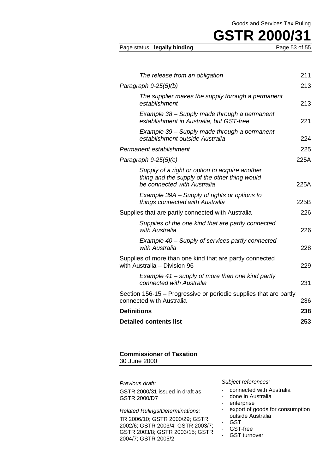# **GSTR 2000/31**<br>Page 53 of 55

Page status: legally binding

| The release from an obligation                                                                                                 | 211  |
|--------------------------------------------------------------------------------------------------------------------------------|------|
| Paragraph 9-25(5)(b)                                                                                                           | 213  |
| The supplier makes the supply through a permanent<br>establishment                                                             | 213  |
| Example 38 - Supply made through a permanent<br>establishment in Australia, but GST-free                                       | 221  |
| Example 39 - Supply made through a permanent<br>establishment outside Australia                                                | 224  |
| Permanent establishment                                                                                                        | 225  |
| Paragraph 9-25(5)(c)                                                                                                           | 225A |
| Supply of a right or option to acquire another<br>thing and the supply of the other thing would<br>be connected with Australia | 225A |
| Example 39A – Supply of rights or options to<br>things connected with Australia                                                | 225B |
| Supplies that are partly connected with Australia                                                                              | 226  |
| Supplies of the one kind that are partly connected<br>with Australia                                                           | 226  |
| Example 40 – Supply of services partly connected<br>with Australia                                                             | 228  |
| Supplies of more than one kind that are partly connected<br>with Australia - Division 96                                       | 229  |
| Example 41 – supply of more than one kind partly<br>connected with Australia                                                   | 231  |
| Section 156-15 – Progressive or periodic supplies that are partly<br>connected with Australia                                  | 236  |
| <b>Definitions</b>                                                                                                             | 238  |
| <b>Detailed contents list</b>                                                                                                  | 253  |
|                                                                                                                                |      |

#### **Commissioner of Taxation** 30 June 2000

*Previous draft:*

GSTR 2000/31 issued in draft as GSTR 2000/D7

#### *Related Rulings/Determinations:*

TR 2006/10; GSTR 2000/29; GSTR 2002/6; GSTR 2003/4; GSTR 2003/7; GSTR 2003/8; GSTR 2003/15; GSTR 2004/7; GSTR 2005/2

*Subject references:*

- connected with Australia
- done in Australia
- enterprise
- export of goods for consumption outside Australia
- GST
- GST-free<br>- GST turno
- GST turnover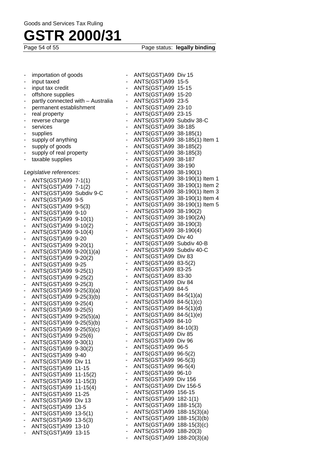Page status: **legally binding** 

|                              | importation of goods              |                              | ANTS(GST)A99 Div 15          |                                  |
|------------------------------|-----------------------------------|------------------------------|------------------------------|----------------------------------|
|                              | input taxed                       | $\overline{\phantom{a}}$     | ANTS(GST)A99 15-5            |                                  |
|                              | input tax credit                  | -                            | ANTS(GST)A99 15-15           |                                  |
|                              | offshore supplies                 | -                            | ANTS(GST)A99 15-20           |                                  |
| -                            | partly connected with - Australia | -                            | ANTS(GST)A99 23-5            |                                  |
|                              | permanent establishment           | -                            | ANTS(GST)A99 23-10           |                                  |
|                              | real property                     | -                            | ANTS(GST)A99 23-15           |                                  |
| -                            | reverse charge                    | $\overline{\phantom{0}}$     | ANTS(GST)A99 Subdiv 38-C     |                                  |
| ٠                            | services                          | ٠                            | ANTS(GST)A99 38-185          |                                  |
|                              | supplies                          | -                            | ANTS(GST)A99 38-185(1)       |                                  |
| ٠                            | supply of anything                | $\overline{\phantom{a}}$     |                              | ANTS(GST)A99 38-185(1) Item 1    |
|                              | supply of goods                   | $\overline{\phantom{a}}$     | ANTS(GST)A99 38-185(2)       |                                  |
|                              | supply of real property           | $\blacksquare$               | ANTS(GST)A99 38-185(3)       |                                  |
| ۰                            | taxable supplies                  | $\overline{\phantom{a}}$     | ANTS(GST)A99 38-187          |                                  |
|                              |                                   | $\overline{\phantom{a}}$     | ANTS(GST)A99 38-190          |                                  |
|                              | Legislative references:           | $\overline{\phantom{a}}$     | ANTS(GST)A99 38-190(1)       |                                  |
|                              | ANTS(GST)A99 7-1(1)               | $\qquad \qquad \blacksquare$ |                              | ANTS(GST)A99 38-190(1) Item 1    |
| ۰                            | ANTS(GST)A99 7-1(2)               | $\overline{\phantom{a}}$     |                              | ANTS(GST)A99 38-190(1) Item 2    |
|                              | ANTS(GST)A99 Subdiv 9-C           | $\blacksquare$               |                              | ANTS(GST)A99 38-190(1) Item 3    |
| -                            | ANTS(GST)A99 9-5                  | $\blacksquare$               |                              | ANTS(GST)A99 38-190(1) Item 4    |
| $\overline{a}$               | ANTS(GST)A99 9-5(3)               | $\overline{\phantom{a}}$     |                              | ANTS(GST)A99 38-190(1) Item 5    |
|                              | ANTS(GST)A99 9-10                 | $\blacksquare$               | ANTS(GST)A99 38-190(2)       |                                  |
| $\overline{\phantom{a}}$     | ANTS(GST)A99 9-10(1)              | $\blacksquare$               | ANTS(GST)A99 38-190(2A)      |                                  |
| ۰                            | ANTS(GST)A99 9-10(2)              | ۰                            | ANTS(GST)A99 38-190(3)       |                                  |
| -                            | ANTS(GST)A99 9-10(4)              | -                            | ANTS(GST)A99 38-190(4)       |                                  |
| ٠                            | ANTS(GST)A99 9-20                 | $\blacksquare$               | ANTS(GST)A99 Div 40          |                                  |
| ٠                            | ANTS(GST)A99 9-20(1)              | $\overline{\phantom{a}}$     | ANTS(GST)A99 Subdiv 40-B     |                                  |
|                              | ANTS(GST)A99 9-20(1)(a)           | ۰                            | ANTS(GST)A99 Subdiv 40-C     |                                  |
| $\overline{a}$               | ANTS(GST)A99 9-20(2)              | $\blacksquare$               | ANTS(GST)A99 Div 83          |                                  |
| -                            | ANTS(GST)A99 9-25                 | $\qquad \qquad \blacksquare$ | ANTS(GST)A99 83-5(2)         |                                  |
|                              | ANTS(GST)A99 9-25(1)              | ۰                            | ANTS(GST)A99 83-25           |                                  |
| ٠                            | ANTS(GST)A99 9-25(2)              | $\blacksquare$               | ANTS(GST)A99 83-30           |                                  |
| ٠                            | ANTS(GST)A99 9-25(3)              | $\blacksquare$               | ANTS(GST)A99 Div 84          |                                  |
| -                            | ANTS(GST)A99 9-25(3)(a)           | ٠                            | ANTS(GST)A99 84-5            |                                  |
| ٠                            | ANTS(GST)A99 9-25(3)(b)           | ٠                            | ANTS(GST)A99 84-5(1)(a)      |                                  |
| ٠                            | ANTS(GST)A99 9-25(4)              | $\blacksquare$               | ANTS(GST)A99 84-5(1)(c)      |                                  |
| ۰                            | ANTS(GST)A99 9-25(5)              | ٠                            | ANTS(GST)A99 84-5(1)(d)      |                                  |
| $\overline{\phantom{0}}$     | ANTS(GST)A99 9-25(5)(a)           | ٠                            | ANTS(GST)A99 84-5(1)(e)      |                                  |
|                              | ANTS(GST)A99 9-25(5)(b)           | $\overline{\phantom{0}}$     | ANTS(GST)A99 84-10           |                                  |
|                              | ANTS(GST)A99 9-25(5)(c)           |                              | ANTS(GST)A99 84-10(3)        |                                  |
| $\overline{\phantom{a}}$     | ANTS(GST)A99 9-25(6)              | -                            | ANTS(GST)A99 Div 85          |                                  |
| $\overline{a}$               | ANTS(GST)A99 9-30(1)              | $\qquad \qquad \blacksquare$ | ANTS(GST)A99 Div 96          |                                  |
|                              | ANTS(GST)A99 9-30(2)              | -                            | ANTS(GST)A99 96-5            |                                  |
| ۰                            | ANTS(GST)A99 9-40                 | -                            | ANTS(GST)A99 96-5(2)         |                                  |
|                              | ANTS(GST)A99 Div 11               | -                            | ANTS(GST)A99                 | $96 - 5(3)$                      |
| -                            | ANTS(GST)A99<br>$11 - 15$         |                              | ANTS(GST)A99                 | $96-5(4)$                        |
| $\overline{a}$               | ANTS(GST)A99 11-15(2)             | ٠                            | ANTS(GST)A99                 | $96-10$                          |
| $\qquad \qquad \blacksquare$ | ANTS(GST)A99<br>$11-15(3)$        | $\qquad \qquad \blacksquare$ | ANTS(GST)A99 Div 156         |                                  |
| $\overline{\phantom{m}}$     | ANTS(GST)A99<br>$11-15(4)$        | ۰                            | ANTS(GST)A99                 | Div 156-5                        |
| -                            | ANTS(GST)A99<br>$11 - 25$         | ۰                            | ANTS(GST)A99                 | 156-15                           |
| -                            | ANTS(GST)A99<br>Div 13            | -                            | ANTS(GST)A99                 | $182 - 1(1)$                     |
| ٠                            | ANTS(GST)A99<br>$13 - 5$          | -                            | ANTS(GST)A99<br>ANTS(GST)A99 | $188-15(3)$                      |
| -                            | ANTS(GST)A99<br>$13-5(1)$         | -<br>-                       | ANTS(GST)A99                 | $188-15(3)(a)$                   |
| -                            | ANTS(GST)A99<br>$13-5(3)$         |                              | ANTS(GST)A99                 | $188-15(3)(b)$<br>$188-15(3)(c)$ |
|                              | ANTS(GST)A99<br>$13 - 10$         |                              | ANTS(GST)A99                 | $188 - 20(3)$                    |
| ٠                            | ANTS(GST)A99<br>$13 - 15$         |                              | ANTS(GST)A99                 | $188 - 20(3)(a)$                 |
|                              |                                   |                              |                              |                                  |